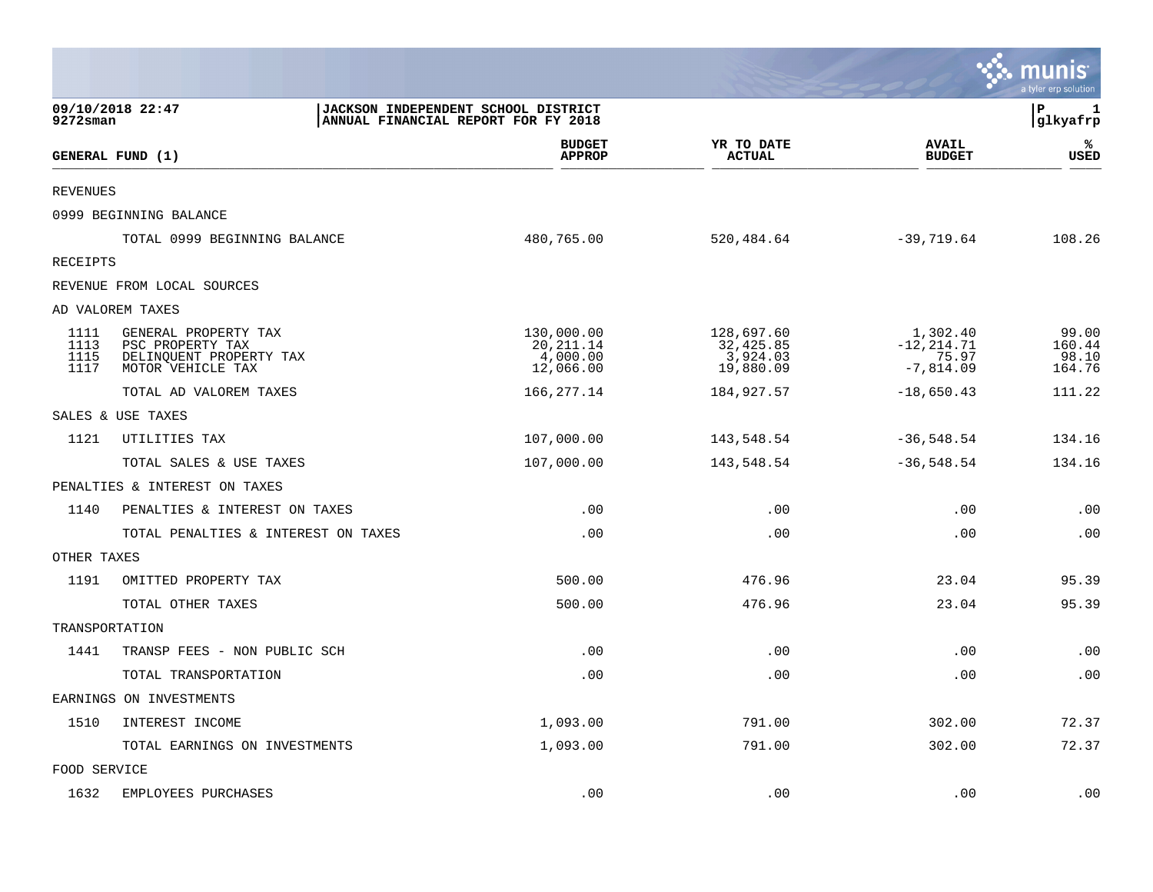|                              |                                                                                          |                                                                            |                                                  |                                                   | munis<br>a tyler erp solution      |
|------------------------------|------------------------------------------------------------------------------------------|----------------------------------------------------------------------------|--------------------------------------------------|---------------------------------------------------|------------------------------------|
| 9272sman                     | 09/10/2018 22:47                                                                         | JACKSON INDEPENDENT SCHOOL DISTRICT<br>ANNUAL FINANCIAL REPORT FOR FY 2018 |                                                  |                                                   | $\mathbf{P}$<br>1<br> glkyafrp     |
|                              | GENERAL FUND (1)                                                                         | <b>BUDGET</b><br><b>APPROP</b>                                             | YR TO DATE<br><b>ACTUAL</b>                      | <b>AVAIL</b><br><b>BUDGET</b>                     | %ะ<br>USED                         |
| <b>REVENUES</b>              |                                                                                          |                                                                            |                                                  |                                                   |                                    |
|                              | 0999 BEGINNING BALANCE                                                                   |                                                                            |                                                  |                                                   |                                    |
|                              | TOTAL 0999 BEGINNING BALANCE                                                             | 480,765.00                                                                 | 520,484.64                                       | $-39,719.64$                                      | 108.26                             |
| RECEIPTS                     |                                                                                          |                                                                            |                                                  |                                                   |                                    |
|                              | REVENUE FROM LOCAL SOURCES                                                               |                                                                            |                                                  |                                                   |                                    |
|                              | AD VALOREM TAXES                                                                         |                                                                            |                                                  |                                                   |                                    |
| 1111<br>1113<br>1115<br>1117 | GENERAL PROPERTY TAX<br>PSC PROPERTY TAX<br>DELINQUENT PROPERTY TAX<br>MOTOR VEHICLE TAX | 130,000.00<br>20, 211.14<br>4,000.00<br>12,066.00                          | 128,697.60<br>32,425.85<br>3,924.03<br>19,880.09 | 1,302.40<br>$-12, 214.71$<br>75.97<br>$-7,814.09$ | 99.00<br>160.44<br>98.10<br>164.76 |
|                              | TOTAL AD VALOREM TAXES                                                                   | 166,277.14                                                                 | 184,927.57                                       | $-18,650.43$                                      | 111.22                             |
|                              | SALES & USE TAXES                                                                        |                                                                            |                                                  |                                                   |                                    |
| 1121                         | UTILITIES TAX                                                                            | 107,000.00                                                                 | 143,548.54                                       | $-36,548.54$                                      | 134.16                             |
|                              | TOTAL SALES & USE TAXES                                                                  | 107,000.00                                                                 | 143,548.54                                       | $-36,548.54$                                      | 134.16                             |
|                              | PENALTIES & INTEREST ON TAXES                                                            |                                                                            |                                                  |                                                   |                                    |
| 1140                         | PENALTIES & INTEREST ON TAXES                                                            | .00                                                                        | .00                                              | .00                                               | .00                                |
|                              | TOTAL PENALTIES & INTEREST ON TAXES                                                      | .00                                                                        | .00                                              | .00                                               | .00                                |
| OTHER TAXES                  |                                                                                          |                                                                            |                                                  |                                                   |                                    |
| 1191                         | OMITTED PROPERTY TAX                                                                     | 500.00                                                                     | 476.96                                           | 23.04                                             | 95.39                              |
|                              | TOTAL OTHER TAXES                                                                        | 500.00                                                                     | 476.96                                           | 23.04                                             | 95.39                              |
| TRANSPORTATION               |                                                                                          |                                                                            |                                                  |                                                   |                                    |
| 1441                         | TRANSP FEES - NON PUBLIC SCH                                                             | .00                                                                        | .00                                              | .00                                               | .00                                |
|                              | TOTAL TRANSPORTATION                                                                     | .00                                                                        | .00                                              | .00                                               | .00                                |
|                              | EARNINGS ON INVESTMENTS                                                                  |                                                                            |                                                  |                                                   |                                    |
| 1510                         | INTEREST INCOME                                                                          | 1,093.00                                                                   | 791.00                                           | 302.00                                            | 72.37                              |
|                              | TOTAL EARNINGS ON INVESTMENTS                                                            | 1,093.00                                                                   | 791.00                                           | 302.00                                            | 72.37                              |
| FOOD SERVICE                 |                                                                                          |                                                                            |                                                  |                                                   |                                    |
| 1632                         | EMPLOYEES PURCHASES                                                                      | .00                                                                        | .00                                              | .00                                               | .00                                |

 $\mathcal{L}^{\text{max}}$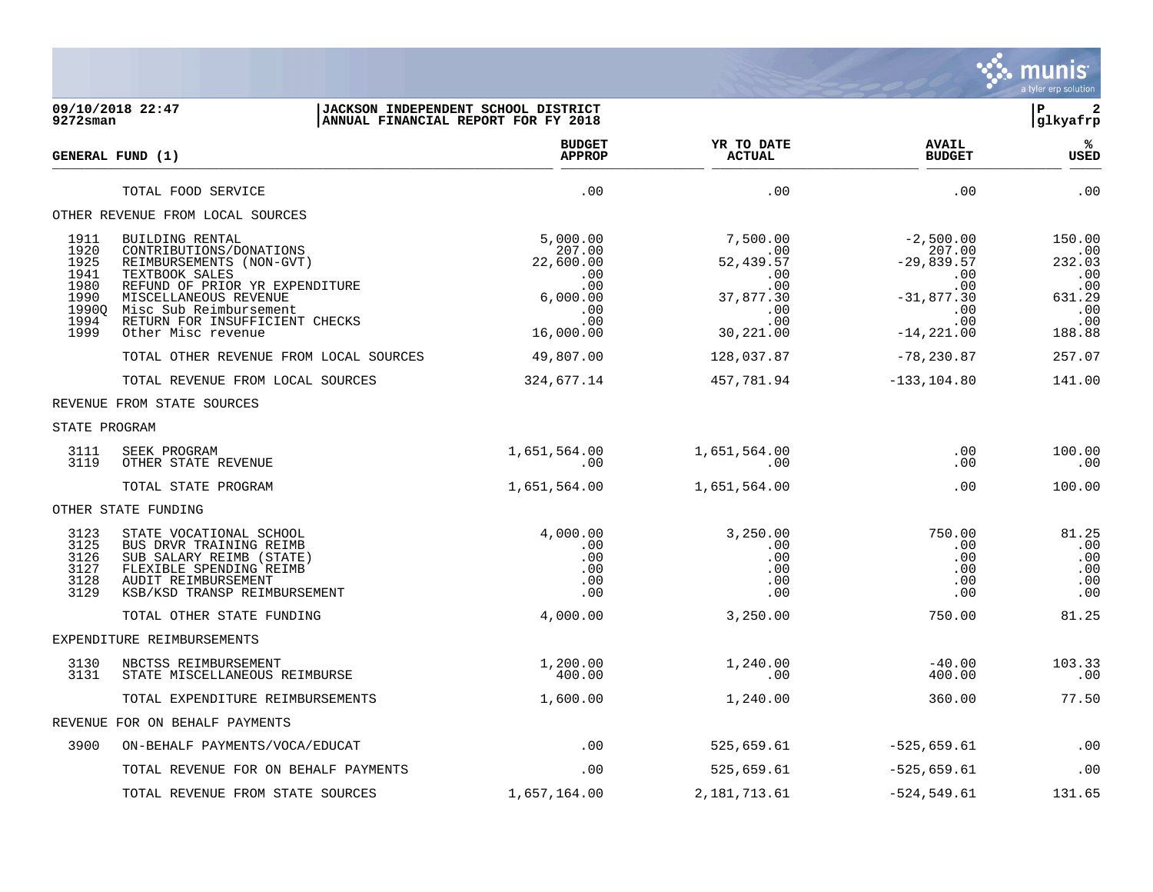

## **09/10/2018 22:47 |JACKSON INDEPENDENT SCHOOL DISTRICT |P 2 9272sman |ANNUAL FINANCIAL REPORT FOR FY 2018 |glkyafrp**

|                                                                       | GENERAL FUND (1)                                                                                                                                                                                                                      | <b>BUDGET</b><br><b>APPROP</b>                                                       | YR TO DATE<br><b>ACTUAL</b>                                                             | <b>AVAIL</b><br><b>BUDGET</b>                                                                      | ℁<br><b>USED</b>                                                        |
|-----------------------------------------------------------------------|---------------------------------------------------------------------------------------------------------------------------------------------------------------------------------------------------------------------------------------|--------------------------------------------------------------------------------------|-----------------------------------------------------------------------------------------|----------------------------------------------------------------------------------------------------|-------------------------------------------------------------------------|
|                                                                       | TOTAL FOOD SERVICE                                                                                                                                                                                                                    | .00                                                                                  | .00                                                                                     | .00                                                                                                | .00                                                                     |
|                                                                       | OTHER REVENUE FROM LOCAL SOURCES                                                                                                                                                                                                      |                                                                                      |                                                                                         |                                                                                                    |                                                                         |
| 1911<br>1920<br>1925<br>1941<br>1980<br>1990<br>19900<br>1994<br>1999 | BUILDING RENTAL<br>CONTRIBUTIONS/DONATIONS<br>REIMBURSEMENTS (NON-GVT)<br>TEXTBOOK SALES<br>REFUND OF PRIOR YR EXPENDITURE<br>MISCELLANEOUS REVENUE<br>Misc Sub Reimbursement<br>RETURN FOR INSUFFICIENT CHECKS<br>Other Misc revenue | 5,000.00<br>207.00<br>22,600.00<br>.00<br>.00<br>6,000.00<br>.00<br>.00<br>16,000.00 | 7,500.00<br>.00<br>52,439.57<br>.00<br>.00<br>37,877.30<br>$.00 \,$<br>.00<br>30,221.00 | $-2,500.00$<br>207.00<br>$-29,839.57$<br>.00<br>.00<br>$-31,877.30$<br>.00<br>.00<br>$-14, 221.00$ | 150.00<br>.00<br>232.03<br>.00<br>.00<br>631.29<br>.00<br>.00<br>188.88 |
|                                                                       | TOTAL OTHER REVENUE FROM LOCAL SOURCES                                                                                                                                                                                                | 49,807.00                                                                            | 128,037.87                                                                              | $-78, 230.87$                                                                                      | 257.07                                                                  |
|                                                                       | TOTAL REVENUE FROM LOCAL SOURCES                                                                                                                                                                                                      | 324,677.14                                                                           | 457,781.94                                                                              | $-133, 104.80$                                                                                     | 141.00                                                                  |
|                                                                       | REVENUE FROM STATE SOURCES                                                                                                                                                                                                            |                                                                                      |                                                                                         |                                                                                                    |                                                                         |
| STATE PROGRAM                                                         |                                                                                                                                                                                                                                       |                                                                                      |                                                                                         |                                                                                                    |                                                                         |
| 3111<br>3119                                                          | SEEK PROGRAM<br>OTHER STATE REVENUE                                                                                                                                                                                                   | 1,651,564.00<br>$.00 \,$                                                             | 1,651,564.00<br>.00                                                                     | .00<br>.00                                                                                         | 100.00<br>.00                                                           |
|                                                                       | TOTAL STATE PROGRAM                                                                                                                                                                                                                   | 1,651,564.00                                                                         | 1,651,564.00                                                                            | .00                                                                                                | 100.00                                                                  |
|                                                                       | OTHER STATE FUNDING                                                                                                                                                                                                                   |                                                                                      |                                                                                         |                                                                                                    |                                                                         |
| 3123<br>3125<br>3126<br>3127<br>3128<br>3129                          | STATE VOCATIONAL SCHOOL<br>BUS DRVR TRAINING REIMB<br>SUB SALARY REIMB (STATE)<br>FLEXIBLE SPENDING REIMB<br>AUDIT REIMBURSEMENT<br>KSB/KSD TRANSP REIMBURSEMENT                                                                      | 4,000.00<br>$.00 \,$<br>.00<br>.00<br>.00<br>.00                                     | 3,250.00<br>.00<br>.00<br>.00<br>.00<br>.00                                             | 750.00<br>.00<br>.00<br>.00<br>.00<br>.00                                                          | 81.25<br>.00<br>.00<br>.00<br>.00<br>.00                                |
|                                                                       | TOTAL OTHER STATE FUNDING                                                                                                                                                                                                             | 4,000.00                                                                             | 3,250.00                                                                                | 750.00                                                                                             | 81.25                                                                   |
|                                                                       | EXPENDITURE REIMBURSEMENTS                                                                                                                                                                                                            |                                                                                      |                                                                                         |                                                                                                    |                                                                         |
| 3130<br>3131                                                          | NBCTSS REIMBURSEMENT<br>STATE MISCELLANEOUS REIMBURSE                                                                                                                                                                                 | 1,200.00<br>400.00                                                                   | 1,240.00<br>.00                                                                         | $-40.00$<br>400.00                                                                                 | 103.33<br>.00                                                           |
|                                                                       | TOTAL EXPENDITURE REIMBURSEMENTS                                                                                                                                                                                                      | 1,600.00                                                                             | 1,240.00                                                                                | 360.00                                                                                             | 77.50                                                                   |
|                                                                       | REVENUE FOR ON BEHALF PAYMENTS                                                                                                                                                                                                        |                                                                                      |                                                                                         |                                                                                                    |                                                                         |
| 3900                                                                  | ON-BEHALF PAYMENTS/VOCA/EDUCAT                                                                                                                                                                                                        | .00                                                                                  | 525,659.61                                                                              | $-525,659.61$                                                                                      | .00                                                                     |
|                                                                       | TOTAL REVENUE FOR ON BEHALF PAYMENTS                                                                                                                                                                                                  | .00                                                                                  | 525,659.61                                                                              | $-525,659.61$                                                                                      | .00                                                                     |
|                                                                       | TOTAL REVENUE FROM STATE SOURCES                                                                                                                                                                                                      | 1,657,164.00                                                                         | 2,181,713.61                                                                            | -524,549.61                                                                                        | 131.65                                                                  |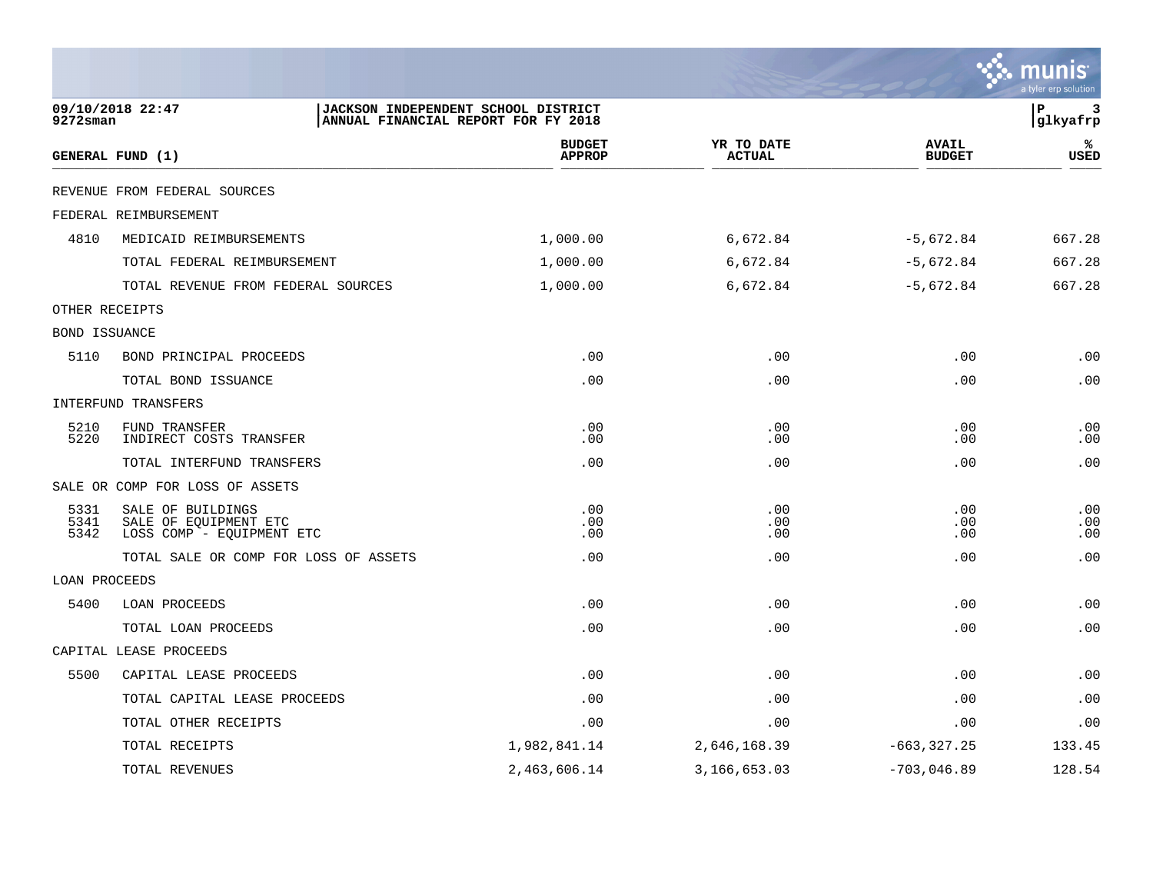|                      |                                                                         |                                                                            |                                |                             |                               | a tyler erp solution |
|----------------------|-------------------------------------------------------------------------|----------------------------------------------------------------------------|--------------------------------|-----------------------------|-------------------------------|----------------------|
| 9272sman             | 09/10/2018 22:47                                                        | JACKSON INDEPENDENT SCHOOL DISTRICT<br>ANNUAL FINANCIAL REPORT FOR FY 2018 |                                |                             |                               | l P<br>3<br>glkyafrp |
|                      | GENERAL FUND (1)                                                        |                                                                            | <b>BUDGET</b><br><b>APPROP</b> | YR TO DATE<br><b>ACTUAL</b> | <b>AVAIL</b><br><b>BUDGET</b> | %<br>USED            |
|                      | REVENUE FROM FEDERAL SOURCES                                            |                                                                            |                                |                             |                               |                      |
|                      | FEDERAL REIMBURSEMENT                                                   |                                                                            |                                |                             |                               |                      |
| 4810                 | MEDICAID REIMBURSEMENTS                                                 |                                                                            | 1,000.00                       | 6,672.84                    | $-5,672.84$                   | 667.28               |
|                      | TOTAL FEDERAL REIMBURSEMENT                                             |                                                                            | 1,000.00                       | 6,672.84                    | $-5,672.84$                   | 667.28               |
|                      | TOTAL REVENUE FROM FEDERAL SOURCES                                      |                                                                            | 1,000.00                       | 6,672.84                    | $-5,672.84$                   | 667.28               |
|                      | OTHER RECEIPTS                                                          |                                                                            |                                |                             |                               |                      |
| BOND ISSUANCE        |                                                                         |                                                                            |                                |                             |                               |                      |
| 5110                 | BOND PRINCIPAL PROCEEDS                                                 |                                                                            | .00                            | .00                         | .00                           | .00                  |
|                      | TOTAL BOND ISSUANCE                                                     |                                                                            | .00                            | .00                         | .00                           | .00                  |
|                      | INTERFUND TRANSFERS                                                     |                                                                            |                                |                             |                               |                      |
| 5210<br>5220         | FUND TRANSFER<br>INDIRECT COSTS TRANSFER                                |                                                                            | .00<br>.00                     | .00<br>.00                  | .00<br>.00                    | .00<br>.00           |
|                      | TOTAL INTERFUND TRANSFERS                                               |                                                                            | .00                            | .00                         | .00                           | .00                  |
|                      | SALE OR COMP FOR LOSS OF ASSETS                                         |                                                                            |                                |                             |                               |                      |
| 5331<br>5341<br>5342 | SALE OF BUILDINGS<br>SALE OF EQUIPMENT ETC<br>LOSS COMP - EQUIPMENT ETC |                                                                            | .00<br>.00<br>.00              | .00<br>.00<br>.00           | .00<br>.00<br>.00             | .00<br>.00<br>.00    |
|                      | TOTAL SALE OR COMP FOR LOSS OF ASSETS                                   |                                                                            | .00                            | .00                         | .00                           | .00                  |
| LOAN PROCEEDS        |                                                                         |                                                                            |                                |                             |                               |                      |
| 5400                 | LOAN PROCEEDS                                                           |                                                                            | .00                            | .00                         | .00                           | .00                  |
|                      | TOTAL LOAN PROCEEDS                                                     |                                                                            | .00                            | .00                         | .00                           | .00                  |
|                      | CAPITAL LEASE PROCEEDS                                                  |                                                                            |                                |                             |                               |                      |
| 5500                 | CAPITAL LEASE PROCEEDS                                                  |                                                                            | .00                            | .00                         | .00                           | .00                  |
|                      | TOTAL CAPITAL LEASE PROCEEDS                                            |                                                                            | .00                            | .00                         | .00                           | .00                  |
|                      | TOTAL OTHER RECEIPTS                                                    |                                                                            | .00                            | .00                         | .00                           | .00                  |
|                      | TOTAL RECEIPTS                                                          |                                                                            | 1,982,841.14                   | 2,646,168.39                | $-663, 327.25$                | 133.45               |
|                      | TOTAL REVENUES                                                          |                                                                            | 2,463,606.14                   | 3,166,653.03                | $-703,046.89$                 | 128.54               |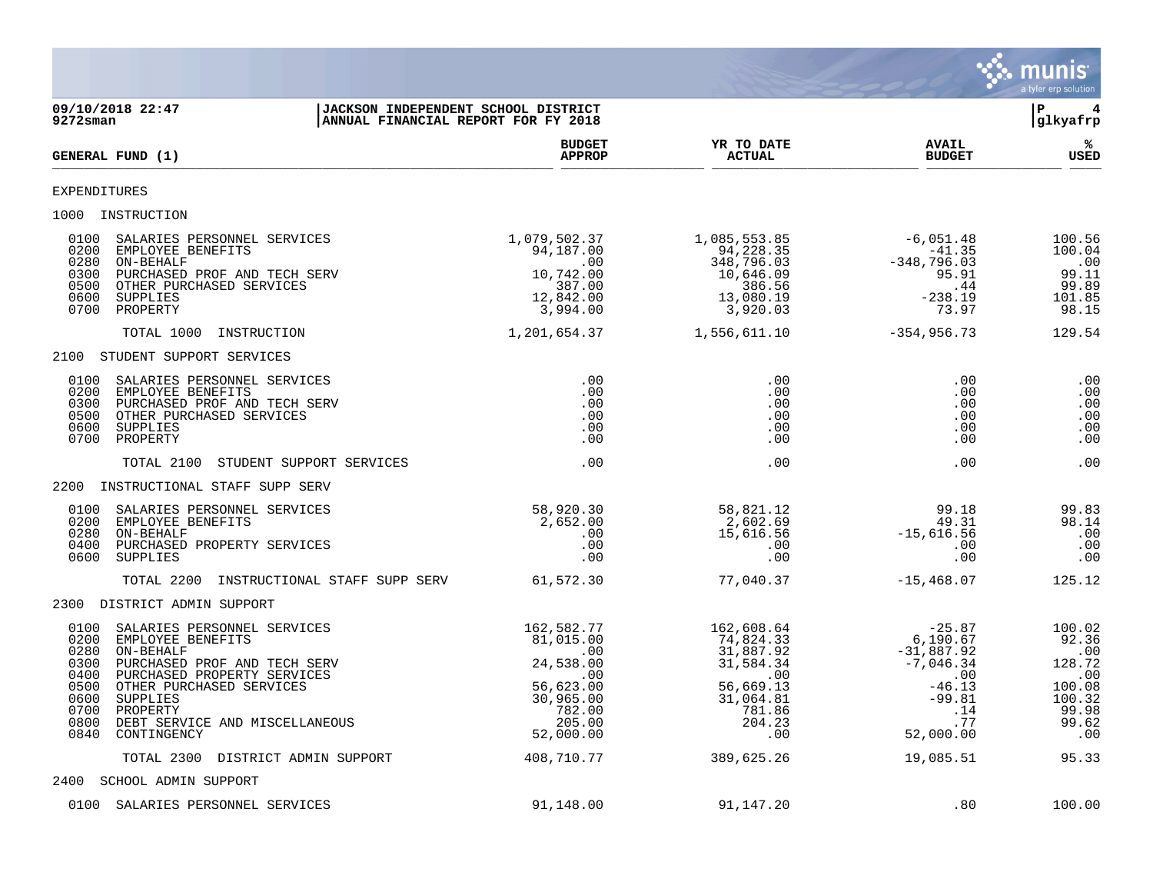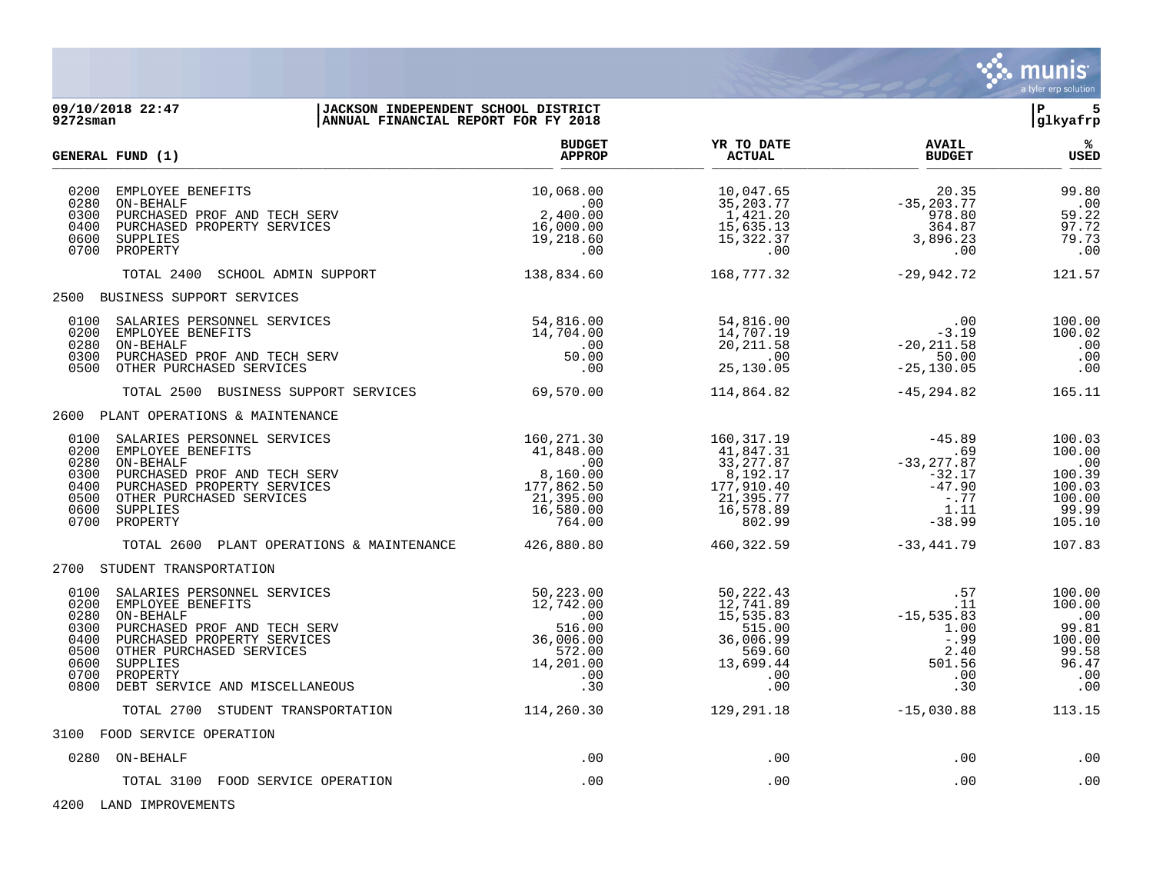

| 9272sman                                                             | 09/10/2018 22:47<br>JACKSON INDEPENDENT SCHOOL DISTRICT<br>ANNUAL FINANCIAL REPORT FOR FY 2018                                                                                                                                                                                           |                                                                                                 |                                                                                                     |                                                                                         | 5<br>l P<br>glkyafrp                                                            |
|----------------------------------------------------------------------|------------------------------------------------------------------------------------------------------------------------------------------------------------------------------------------------------------------------------------------------------------------------------------------|-------------------------------------------------------------------------------------------------|-----------------------------------------------------------------------------------------------------|-----------------------------------------------------------------------------------------|---------------------------------------------------------------------------------|
|                                                                      | <b>GENERAL FUND (1)</b>                                                                                                                                                                                                                                                                  | <b>BUDGET</b><br><b>APPROP</b>                                                                  | YR TO DATE<br><b>ACTUAL</b>                                                                         | <b>AVAIL</b><br><b>BUDGET</b>                                                           | %<br><b>USED</b>                                                                |
| 0200<br>0280<br>0300<br>0400<br>0600<br>0700                         | EMPLOYEE BENEFITS<br>ON-BEHALF<br>PURCHASED PROF AND TECH SERV<br>PURCHASED PROPERTY SERVICES<br>SUPPLIES<br>PROPERTY                                                                                                                                                                    | 10,068.00<br>.00<br>2,400.00<br>16,000.00<br>19,218.60<br>.00                                   | 10,047.65<br>35,203.77<br>1,421.20<br>15,635.13<br>15,322.37<br>.00                                 | 20.35<br>$-35, 203.77$<br>$\frac{970.2}{364.87}$<br>3,896.23<br>.00                     | 99.80<br>.00<br>59.22<br>97.72<br>79.73<br>.00                                  |
|                                                                      | SCHOOL ADMIN SUPPORT<br>TOTAL 2400                                                                                                                                                                                                                                                       | 138,834.60                                                                                      | 168,777.32                                                                                          | $-29,942.72$                                                                            | 121.57                                                                          |
|                                                                      | 2500 BUSINESS SUPPORT SERVICES                                                                                                                                                                                                                                                           |                                                                                                 |                                                                                                     |                                                                                         |                                                                                 |
| 0200<br>0280<br>0300<br>0500                                         | 0100 SALARIES PERSONNEL SERVICES<br>EMPLOYEE BENEFITS<br>ON-BEHALF<br>PURCHASED PROF AND TECH SERV<br>OTHER PURCHASED SERVICES                                                                                                                                                           | 54,816.00<br>14,704.00<br>.00<br>50.00<br>.00                                                   | 54,816.00<br>14,707.19<br>20, 211.58<br>$\overline{00}$<br>25,130.05                                | .00<br>$-3.19$<br>$-20, 211.58$<br>50.00<br>$-25, 130.05$                               | 100.00<br>100.02<br>.00<br>.00<br>.00                                           |
|                                                                      | TOTAL 2500 BUSINESS SUPPORT SERVICES                                                                                                                                                                                                                                                     | 69,570.00                                                                                       | 114,864.82                                                                                          | -45,294.82                                                                              | 165.11                                                                          |
|                                                                      | 2600 PLANT OPERATIONS & MAINTENANCE                                                                                                                                                                                                                                                      |                                                                                                 |                                                                                                     |                                                                                         |                                                                                 |
| 0200<br>0280<br>0300<br>0400<br>0500<br>0600                         | 0100 SALARIES PERSONNEL SERVICES<br>$160, 271.30$<br>41,848.00<br>.00<br>8,160.00<br>$177,862.50$<br>$177,862.50$<br>16,580.00<br>EMPLOYEE BENEFITS<br>ON-BEHALF<br>PURCHASED PROF AND TECH SERV<br>PURCHASED PROPERTY SERVICES<br>OTHER PURCHASED SERVICES<br>SUPPLIES<br>0700 PROPERTY | 16,580.00<br>764.00                                                                             | 160,317.19<br>41,847.31<br>33, 277.87<br>8,192.17<br>177,910.40<br>21,395.77<br>16,578.89<br>802.99 | $-45.89$<br>.69<br>$-33, 277.87$<br>$-32.17$<br>$-47.90$<br>$-0.77$<br>1.11<br>$-38.99$ | 100.03<br>100.00<br>.00<br>100.39<br>100.03<br>100.00<br>99.99<br>105.10        |
|                                                                      | TOTAL 2600 PLANT OPERATIONS & MAINTENANCE 426,880.80                                                                                                                                                                                                                                     |                                                                                                 | 460,322.59                                                                                          | $-33.441.79$                                                                            | 107.83                                                                          |
|                                                                      | 2700 STUDENT TRANSPORTATION                                                                                                                                                                                                                                                              |                                                                                                 |                                                                                                     |                                                                                         |                                                                                 |
| 0100<br>0200<br>0280<br>0300<br>0400<br>0500<br>0600<br>0700<br>0800 | SALARIES PERSONNEL SERVICES<br>EMPLOYEE BENEFITS<br>ON-BEHALF<br>PURCHASED PROF AND TECH SERV<br>PURCHASED PROPERTY SERVICES<br>OTHER PURCHASED SERVICES<br>SUPPLIES<br>PROPERTY<br>DEBT SERVICE AND MISCELLANEOUS                                                                       | 50,223.00<br>12,742.00<br>$\sim$ 00<br>516.00<br>36,006.00<br>572.00<br>14,201.00<br>.00<br>.30 | 50,222.43<br>12,741.89<br>15,535.83<br>515.00<br>36,006.99<br>569.60<br>13,699.44<br>.00<br>.00     | .57<br>.11<br>$-15, 535.83$<br>1.00<br>$-.99$<br>2.40<br>501.56<br>.00<br>.30           | 100.00<br>100.00<br>$\ldots$<br>99.81<br>100.00<br>99.58<br>96.47<br>.00<br>.00 |
|                                                                      | TOTAL 2700 STUDENT TRANSPORTATION                                                                                                                                                                                                                                                        | 114,260.30                                                                                      | 129, 291.18                                                                                         | $-15,030.88$                                                                            | 113.15                                                                          |
|                                                                      | 3100 FOOD SERVICE OPERATION                                                                                                                                                                                                                                                              |                                                                                                 |                                                                                                     |                                                                                         |                                                                                 |
|                                                                      | 0280 ON-BEHALF                                                                                                                                                                                                                                                                           | .00                                                                                             | .00                                                                                                 | .00                                                                                     | .00                                                                             |
|                                                                      | TOTAL 3100 FOOD SERVICE OPERATION                                                                                                                                                                                                                                                        | .00                                                                                             | .00                                                                                                 | .00                                                                                     | .00                                                                             |

4200 LAND IMPROVEMENTS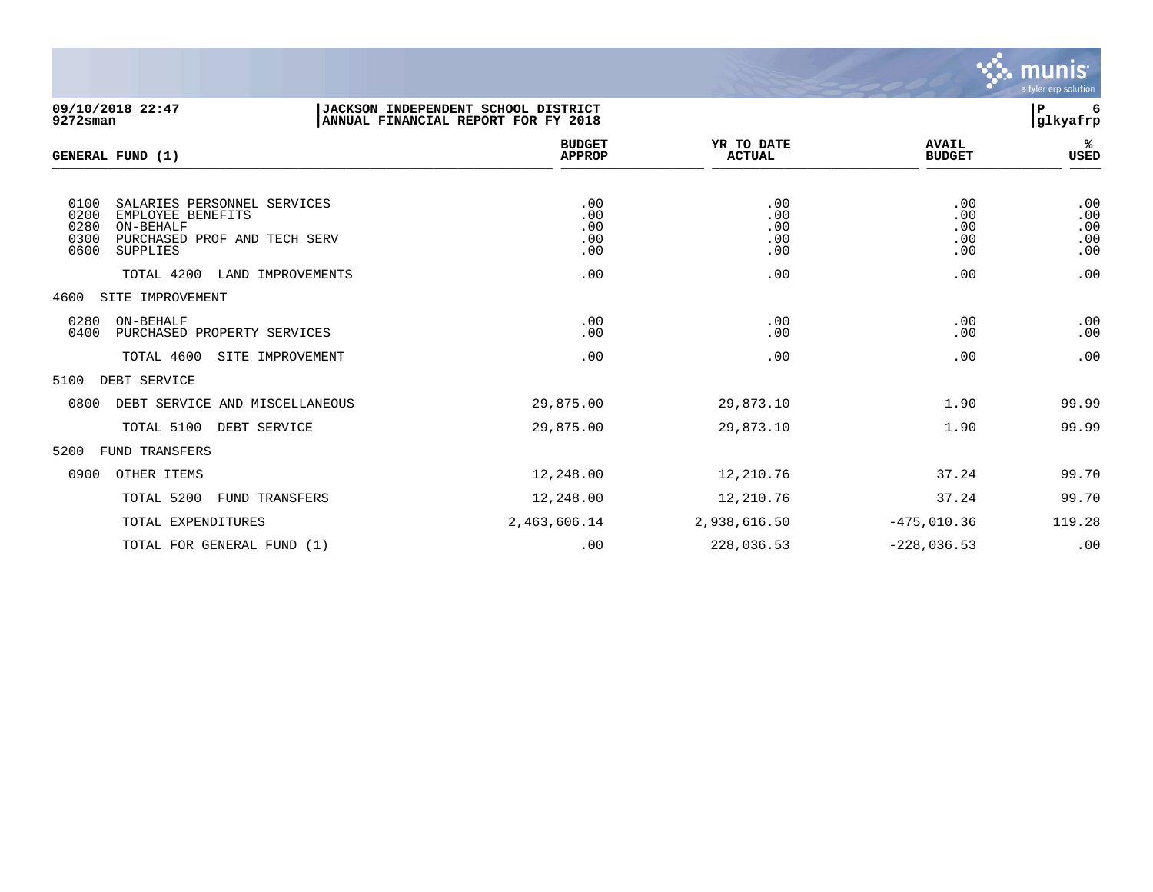

| 09/10/2018 22:47<br>$9272$ sman                                                                                                                                                      | JACKSON INDEPENDENT SCHOOL DISTRICT<br>ANNUAL FINANCIAL REPORT FOR FY 2018 |                                        |                                        | l P<br>6<br>glkyafrp                   |
|--------------------------------------------------------------------------------------------------------------------------------------------------------------------------------------|----------------------------------------------------------------------------|----------------------------------------|----------------------------------------|----------------------------------------|
| GENERAL FUND (1)                                                                                                                                                                     | <b>BUDGET</b><br><b>APPROP</b>                                             | YR TO DATE<br><b>ACTUAL</b>            | <b>AVAIL</b><br><b>BUDGET</b>          | %≽<br>USED                             |
| 0100<br>SALARIES PERSONNEL SERVICES<br>0200<br>EMPLOYEE BENEFITS<br>0280<br>ON-BEHALF<br>0300<br>PURCHASED PROF AND TECH SERV<br>0600<br>SUPPLIES<br>TOTAL 4200<br>LAND IMPROVEMENTS | .00<br>.00<br>.00<br>.00<br>.00<br>.00                                     | .00<br>.00<br>.00<br>.00<br>.00<br>.00 | .00<br>.00<br>.00<br>.00<br>.00<br>.00 | .00<br>.00<br>.00<br>.00<br>.00<br>.00 |
| SITE IMPROVEMENT<br>4600                                                                                                                                                             |                                                                            |                                        |                                        |                                        |
| ON-BEHALF<br>0280<br>0400<br>PURCHASED PROPERTY SERVICES                                                                                                                             | .00<br>.00                                                                 | .00<br>.00                             | .00<br>.00                             | .00<br>.00                             |
| TOTAL 4600<br>SITE IMPROVEMENT                                                                                                                                                       | .00                                                                        | .00                                    | .00                                    | .00                                    |
| 5100<br>DEBT SERVICE                                                                                                                                                                 |                                                                            |                                        |                                        |                                        |
| 0800<br>DEBT SERVICE AND MISCELLANEOUS                                                                                                                                               | 29,875.00                                                                  | 29,873.10                              | 1.90                                   | 99.99                                  |
| TOTAL 5100<br>DEBT SERVICE                                                                                                                                                           | 29,875.00                                                                  | 29,873.10                              | 1.90                                   | 99.99                                  |
| 5200<br>FUND TRANSFERS                                                                                                                                                               |                                                                            |                                        |                                        |                                        |
| 0900<br>OTHER ITEMS                                                                                                                                                                  | 12,248.00                                                                  | 12,210.76                              | 37.24                                  | 99.70                                  |
| TOTAL 5200<br>FUND TRANSFERS                                                                                                                                                         | 12,248.00                                                                  | 12,210.76                              | 37.24                                  | 99.70                                  |
| TOTAL EXPENDITURES                                                                                                                                                                   | 2,463,606.14                                                               | 2,938,616.50                           | $-475,010.36$                          | 119.28                                 |

TOTAL FOR GENERAL FUND (1) .00 228,036.53 -228,036.53 .00 00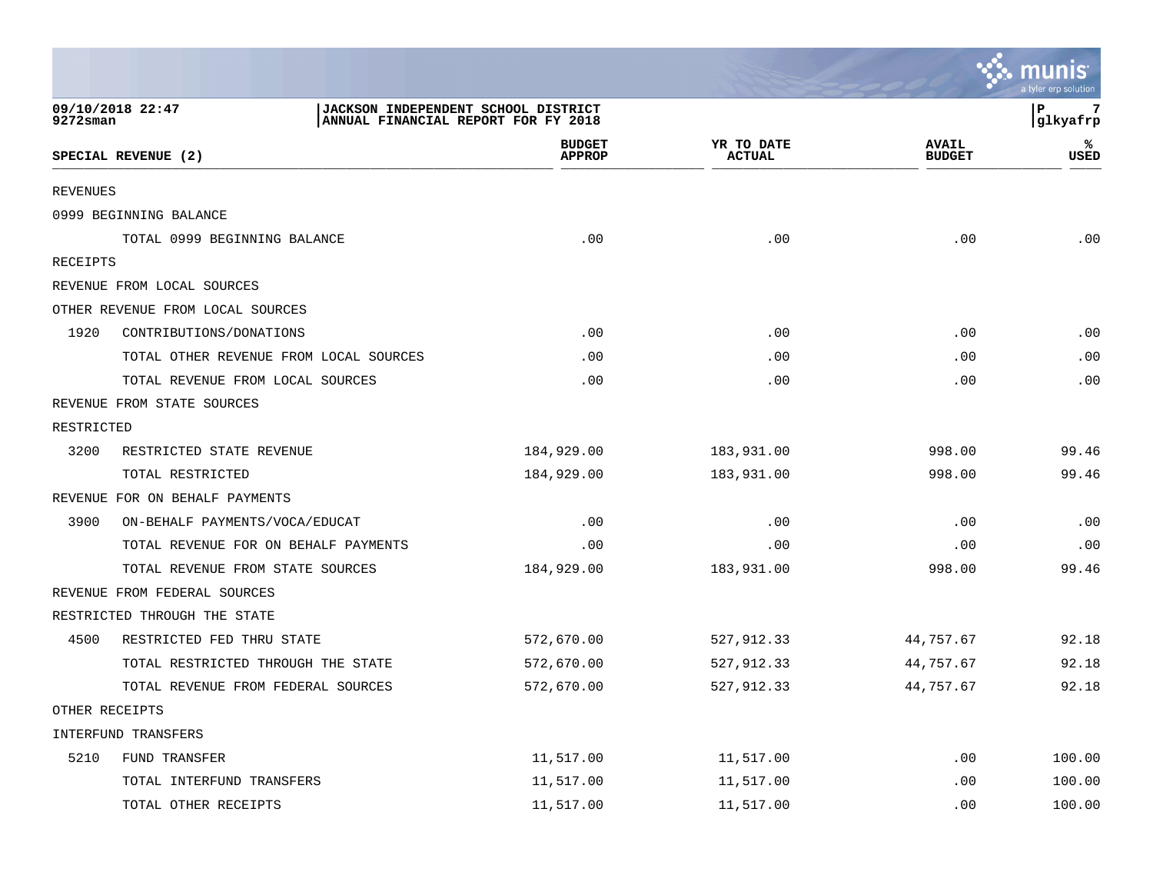|                              |                                                                            |                                |                             |                               | <b>A.</b> Munis<br>a tyler erp solution |
|------------------------------|----------------------------------------------------------------------------|--------------------------------|-----------------------------|-------------------------------|-----------------------------------------|
| 09/10/2018 22:47<br>9272sman | JACKSON INDEPENDENT SCHOOL DISTRICT<br>ANNUAL FINANCIAL REPORT FOR FY 2018 |                                |                             |                               | l P<br>glkyafrp                         |
|                              | SPECIAL REVENUE (2)                                                        | <b>BUDGET</b><br><b>APPROP</b> | YR TO DATE<br><b>ACTUAL</b> | <b>AVAIL</b><br><b>BUDGET</b> | ℁<br><b>USED</b>                        |
| <b>REVENUES</b>              |                                                                            |                                |                             |                               |                                         |
|                              | 0999 BEGINNING BALANCE                                                     |                                |                             |                               |                                         |
|                              | TOTAL 0999 BEGINNING BALANCE                                               | .00                            | .00                         | .00                           | .00                                     |
| RECEIPTS                     |                                                                            |                                |                             |                               |                                         |
|                              | REVENUE FROM LOCAL SOURCES                                                 |                                |                             |                               |                                         |
|                              | OTHER REVENUE FROM LOCAL SOURCES                                           |                                |                             |                               |                                         |
| 1920                         | CONTRIBUTIONS/DONATIONS                                                    | .00                            | .00                         | .00                           | .00                                     |
|                              | TOTAL OTHER REVENUE FROM LOCAL SOURCES                                     | .00                            | .00                         | .00                           | .00                                     |
|                              | TOTAL REVENUE FROM LOCAL SOURCES                                           | .00                            | .00                         | .00                           | .00                                     |
|                              | REVENUE FROM STATE SOURCES                                                 |                                |                             |                               |                                         |
| RESTRICTED                   |                                                                            |                                |                             |                               |                                         |
| 3200                         | RESTRICTED STATE REVENUE                                                   | 184,929.00                     | 183,931.00                  | 998.00                        | 99.46                                   |
|                              | TOTAL RESTRICTED                                                           | 184,929.00                     | 183,931.00                  | 998.00                        | 99.46                                   |
|                              | REVENUE FOR ON BEHALF PAYMENTS                                             |                                |                             |                               |                                         |
| 3900                         | ON-BEHALF PAYMENTS/VOCA/EDUCAT                                             | .00                            | .00                         | .00                           | .00                                     |
|                              | TOTAL REVENUE FOR ON BEHALF PAYMENTS                                       | .00                            | .00                         | .00                           | .00                                     |
|                              | TOTAL REVENUE FROM STATE SOURCES                                           | 184,929.00                     | 183,931.00                  | 998.00                        | 99.46                                   |
|                              | REVENUE FROM FEDERAL SOURCES                                               |                                |                             |                               |                                         |
|                              | RESTRICTED THROUGH THE STATE                                               |                                |                             |                               |                                         |
| 4500                         | RESTRICTED FED THRU STATE                                                  | 572,670.00                     | 527,912.33                  | 44,757.67                     | 92.18                                   |
|                              | TOTAL RESTRICTED THROUGH THE STATE                                         | 572,670.00                     | 527,912.33                  | 44,757.67                     | 92.18                                   |
|                              | TOTAL REVENUE FROM FEDERAL SOURCES                                         | 572,670.00                     | 527,912.33                  | 44,757.67                     | 92.18                                   |
| OTHER RECEIPTS               |                                                                            |                                |                             |                               |                                         |
|                              | INTERFUND TRANSFERS                                                        |                                |                             |                               |                                         |
| 5210                         | FUND TRANSFER                                                              | 11,517.00                      | 11,517.00                   | .00                           | 100.00                                  |
|                              | TOTAL INTERFUND TRANSFERS                                                  | 11,517.00                      | 11,517.00                   | .00                           | 100.00                                  |
|                              | TOTAL OTHER RECEIPTS                                                       | 11,517.00                      | 11,517.00                   | .00                           | 100.00                                  |

 $\sim$   $\sim$   $\sim$   $\sim$   $\sim$   $\sim$   $\sim$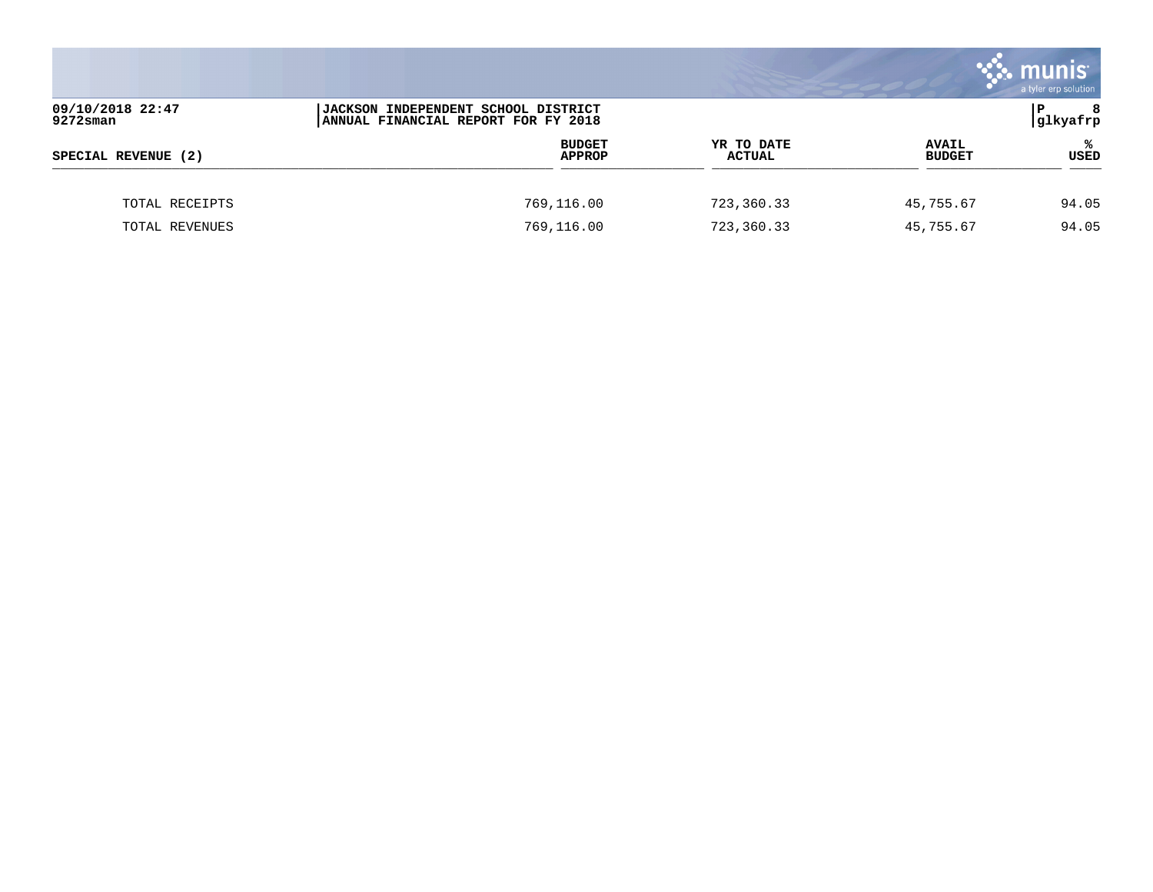|                              |                                                                                   |                             |                               | munis <sup>®</sup><br>a tyler erp solution |
|------------------------------|-----------------------------------------------------------------------------------|-----------------------------|-------------------------------|--------------------------------------------|
| 09/10/2018 22:47<br>9272sman | <b>JACKSON INDEPENDENT SCHOOL DISTRICT</b><br>ANNUAL FINANCIAL REPORT FOR FY 2018 |                             |                               | l P<br>8<br> glkyafrp                      |
| SPECIAL REVENUE (2)          | <b>BUDGET</b><br><b>APPROP</b>                                                    | YR TO DATE<br><b>ACTUAL</b> | <b>AVAIL</b><br><b>BUDGET</b> | ℁<br>USED                                  |
| TOTAL RECEIPTS               | 769,116.00                                                                        | 723,360.33                  | 45,755.67                     | 94.05                                      |
| TOTAL REVENUES               | 769,116.00                                                                        | 723,360.33                  | 45,755.67                     | 94.05                                      |

**Contract**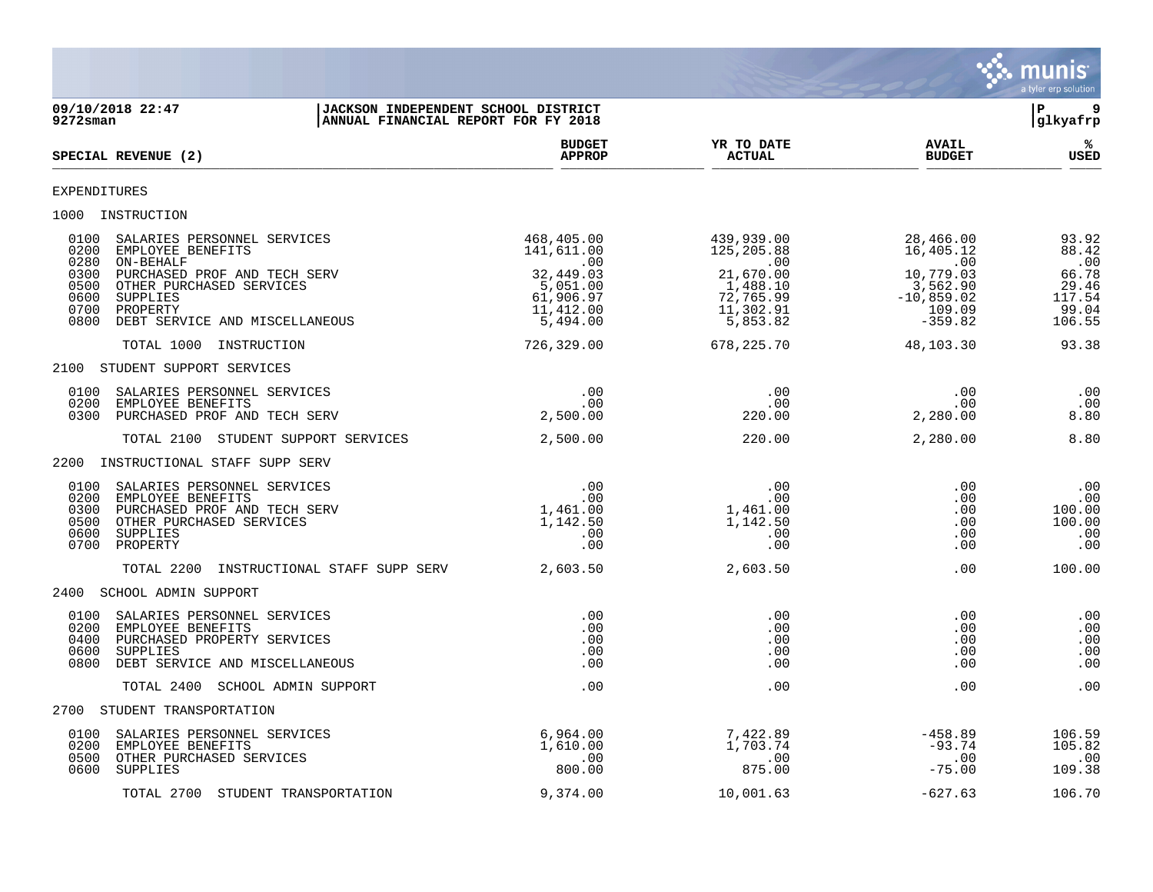

| 09/10/2018 22:47<br>$9272$ sman                                                                                                                                                                                                                     | JACKSON INDEPENDENT SCHOOL DISTRICT<br>ANNUAL FINANCIAL REPORT FOR FY 2018                           |                                                                                                |                                                                                                            | l P<br>9<br>glkyafrp                                                 |
|-----------------------------------------------------------------------------------------------------------------------------------------------------------------------------------------------------------------------------------------------------|------------------------------------------------------------------------------------------------------|------------------------------------------------------------------------------------------------|------------------------------------------------------------------------------------------------------------|----------------------------------------------------------------------|
| SPECIAL REVENUE (2)                                                                                                                                                                                                                                 | <b>BUDGET</b><br><b>APPROP</b>                                                                       | YR TO DATE<br><b>ACTUAL</b>                                                                    | <b>AVAIL</b><br><b>BUDGET</b>                                                                              | %ะ<br><b>USED</b>                                                    |
| EXPENDITURES                                                                                                                                                                                                                                        |                                                                                                      |                                                                                                |                                                                                                            |                                                                      |
| 1000 INSTRUCTION                                                                                                                                                                                                                                    |                                                                                                      |                                                                                                |                                                                                                            |                                                                      |
| 0100<br>SALARIES PERSONNEL SERVICES<br>0200<br>EMPLOYEE BENEFITS<br>0280<br>ON-BEHALF<br>0300<br>PURCHASED PROF AND TECH SERV<br>0500<br>OTHER PURCHASED SERVICES<br>0600<br>SUPPLIES<br>0700<br>PROPERTY<br>0800<br>DEBT SERVICE AND MISCELLANEOUS | 468,405.00<br>141,611.00<br>$\sim$ 00<br>32,449.03<br>5,051.00<br>61,906.97<br>11,412.00<br>5,494.00 | 439,939.00<br>125,205.88<br>.00<br>21,670.00<br>1,488.10<br>72,765.99<br>11,302.91<br>5,853.82 | 28,466.00<br>16,405.12<br>16,405.12<br>00.<br>10,779.03<br>3,562.90<br>$-10,859.02$<br>109.09<br>$-359.82$ | 93.92<br>88.42<br>.00<br>66.78<br>29.46<br>117.54<br>99.04<br>106.55 |
| TOTAL 1000 INSTRUCTION                                                                                                                                                                                                                              | 726,329.00                                                                                           | 678,225.70                                                                                     | 48,103.30                                                                                                  | 93.38                                                                |
| 2100 STUDENT SUPPORT SERVICES                                                                                                                                                                                                                       |                                                                                                      |                                                                                                |                                                                                                            |                                                                      |
| 0100<br>SALARIES PERSONNEL SERVICES<br>0200<br>EMPLOYEE BENEFITS<br>0300<br>PURCHASED PROF AND TECH SERV                                                                                                                                            | .00<br>.00<br>2,500.00                                                                               | .00<br>.00<br>220.00                                                                           | .00<br>.00<br>2,280.00                                                                                     | .00<br>.00<br>8.80                                                   |
| TOTAL 2100 STUDENT SUPPORT SERVICES                                                                                                                                                                                                                 | 2,500.00                                                                                             | 220.00                                                                                         | 2,280.00                                                                                                   | 8.80                                                                 |
| 2200 INSTRUCTIONAL STAFF SUPP SERV                                                                                                                                                                                                                  |                                                                                                      |                                                                                                |                                                                                                            |                                                                      |
| 0100<br>SALARIES PERSONNEL SERVICES<br>0200<br>EMPLOYEE BENEFITS<br>0300<br>PURCHASED PROF AND TECH SERV<br>0500<br>OTHER PURCHASED SERVICES<br>0600<br>SUPPLIES<br>0700<br>PROPERTY                                                                | .00<br>.00<br>1,461.00<br>1,142.50<br>.00<br>.00                                                     | .00<br>.00<br>1,461.00<br>1,142.50<br>.00<br>.00                                               | .00<br>.00<br>.00<br>.00<br>.00<br>.00                                                                     | .00<br>.00<br>100.00<br>100.00<br>.00<br>.00                         |
| INSTRUCTIONAL STAFF SUPP SERV 2,603.50<br>TOTAL 2200                                                                                                                                                                                                |                                                                                                      | 2,603.50                                                                                       | .00                                                                                                        | 100.00                                                               |
| 2400 SCHOOL ADMIN SUPPORT                                                                                                                                                                                                                           |                                                                                                      |                                                                                                |                                                                                                            |                                                                      |
| 0100<br>SALARIES PERSONNEL SERVICES<br>0200<br>EMPLOYEE BENEFITS<br>0400<br>PURCHASED PROPERTY SERVICES<br>0600<br>SUPPLIES<br>0800<br>DEBT SERVICE AND MISCELLANEOUS                                                                               | .00<br>.00<br>.00<br>.00<br>.00                                                                      | .00<br>.00<br>.00<br>.00<br>.00                                                                | .00<br>.00<br>.00<br>.00<br>.00                                                                            | .00<br>.00<br>.00<br>.00<br>.00                                      |
| TOTAL 2400 SCHOOL ADMIN SUPPORT                                                                                                                                                                                                                     | .00                                                                                                  | .00                                                                                            | .00                                                                                                        | .00                                                                  |
| 2700 STUDENT TRANSPORTATION                                                                                                                                                                                                                         |                                                                                                      |                                                                                                |                                                                                                            |                                                                      |
| 0100<br>SALARIES PERSONNEL SERVICES<br>0200<br>EMPLOYEE BENEFITS<br>OTHER PURCHASED SERVICES<br>0500<br>0600<br>SUPPLIES                                                                                                                            | 6,964.00<br>1,610.00<br>$\,.\,00$<br>800.00                                                          | 7,422.89<br>1,703.74<br>.00<br>875.00                                                          | $-458.89$<br>$-93.74$<br>.00<br>$-75.00$                                                                   | 106.59<br>105.82<br>.00<br>109.38                                    |
| TOTAL 2700 STUDENT TRANSPORTATION                                                                                                                                                                                                                   | 9,374.00                                                                                             | 10,001.63                                                                                      | $-627.63$                                                                                                  | 106.70                                                               |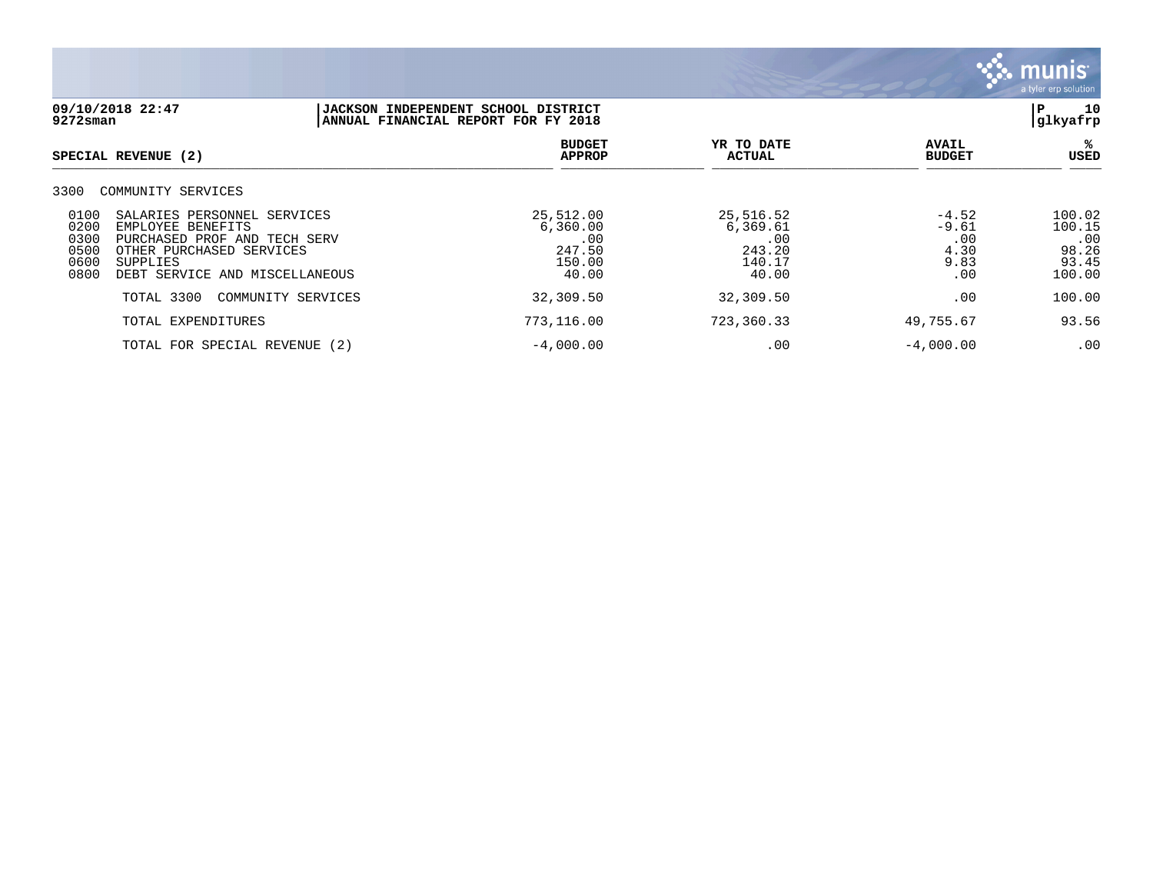

| 09/10/2018 22:47<br>9272sman                                                                                                                                                                                      | JACKSON INDEPENDENT SCHOOL DISTRICT<br>ANNUAL FINANCIAL REPORT FOR FY 2018 |                                                           |                                                  | 10<br>ΙP<br>glkyafrp                                |
|-------------------------------------------------------------------------------------------------------------------------------------------------------------------------------------------------------------------|----------------------------------------------------------------------------|-----------------------------------------------------------|--------------------------------------------------|-----------------------------------------------------|
| SPECIAL REVENUE (2)                                                                                                                                                                                               | <b>BUDGET</b><br><b>APPROP</b>                                             | YR TO DATE<br><b>ACTUAL</b>                               | <b>AVAIL</b><br><b>BUDGET</b>                    | ℁<br>USED                                           |
| 3300<br>COMMUNITY SERVICES                                                                                                                                                                                        |                                                                            |                                                           |                                                  |                                                     |
| 0100<br>SALARIES PERSONNEL SERVICES<br>0200<br>EMPLOYEE BENEFITS<br>0300<br>PURCHASED PROF AND TECH SERV<br>0500<br>OTHER PURCHASED SERVICES<br>0600<br><b>SUPPLIES</b><br>0800<br>DEBT SERVICE AND MISCELLANEOUS | 25,512.00<br>6,360.00<br>.00<br>247.50<br>150.00<br>40.00                  | 25,516.52<br>6,369.61<br>.00<br>243.20<br>140.17<br>40.00 | $-4.52$<br>$-9.61$<br>.00<br>4.30<br>9.83<br>.00 | 100.02<br>100.15<br>.00<br>98.26<br>93.45<br>100.00 |
| TOTAL 3300<br>COMMUNITY SERVICES                                                                                                                                                                                  | 32,309.50                                                                  | 32,309.50                                                 | .00                                              | 100.00                                              |
| TOTAL EXPENDITURES                                                                                                                                                                                                | 773,116.00                                                                 | 723,360.33                                                | 49,755.67                                        | 93.56                                               |
| TOTAL FOR SPECIAL REVENUE (2)                                                                                                                                                                                     | $-4,000.00$                                                                | .00                                                       | $-4,000.00$                                      | .00                                                 |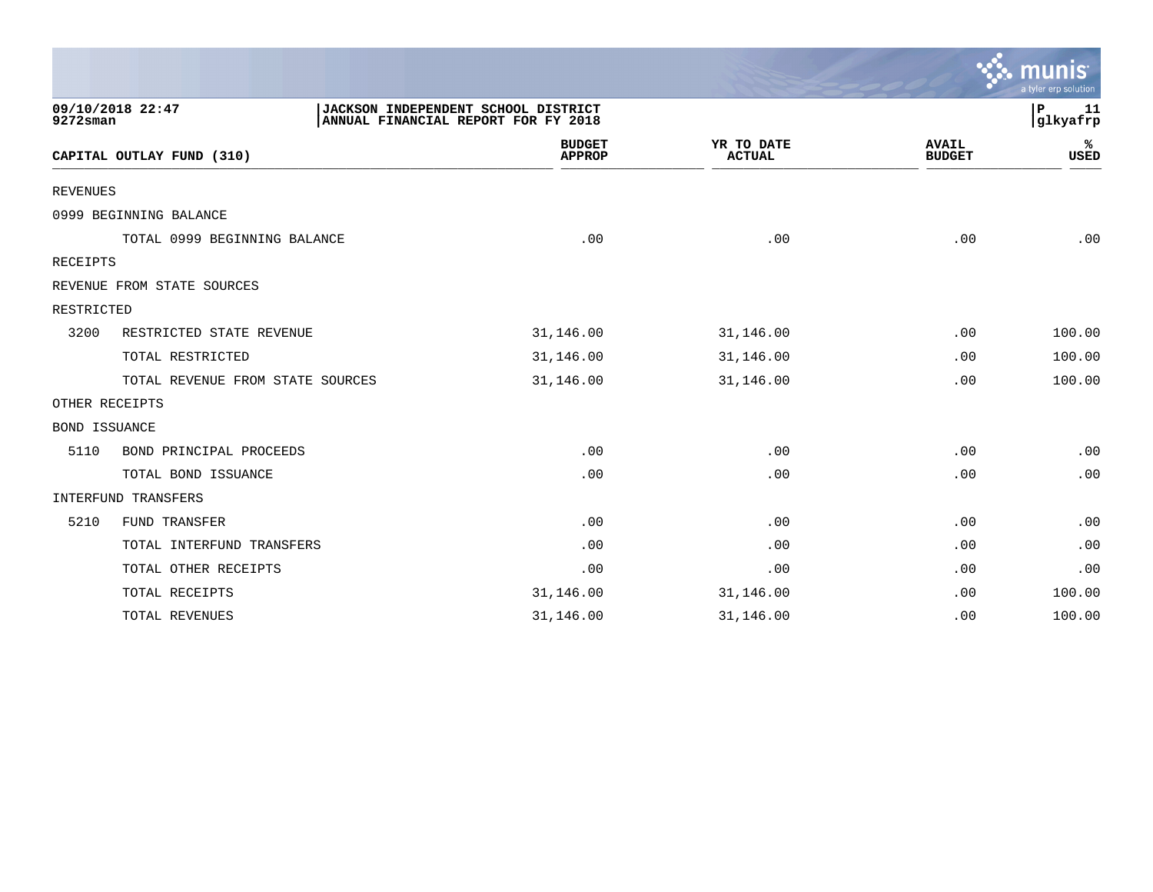|                 |                                  |                                                                            |                             |                               | muni<br>a tyler erp solution |
|-----------------|----------------------------------|----------------------------------------------------------------------------|-----------------------------|-------------------------------|------------------------------|
| $9272$ sman     | 09/10/2018 22:47                 | JACKSON INDEPENDENT SCHOOL DISTRICT<br>ANNUAL FINANCIAL REPORT FOR FY 2018 |                             |                               | P<br>11<br>glkyafrp          |
|                 | CAPITAL OUTLAY FUND (310)        | <b>BUDGET</b><br><b>APPROP</b>                                             | YR TO DATE<br><b>ACTUAL</b> | <b>AVAIL</b><br><b>BUDGET</b> | ℁<br>USED                    |
| <b>REVENUES</b> |                                  |                                                                            |                             |                               |                              |
|                 | 0999 BEGINNING BALANCE           |                                                                            |                             |                               |                              |
|                 | TOTAL 0999 BEGINNING BALANCE     | .00                                                                        | .00                         | .00                           | .00                          |
| <b>RECEIPTS</b> |                                  |                                                                            |                             |                               |                              |
|                 | REVENUE FROM STATE SOURCES       |                                                                            |                             |                               |                              |
| RESTRICTED      |                                  |                                                                            |                             |                               |                              |
| 3200            | RESTRICTED STATE REVENUE         | 31,146.00                                                                  | 31,146.00                   | .00                           | 100.00                       |
|                 | TOTAL RESTRICTED                 | 31,146.00                                                                  | 31,146.00                   | .00                           | 100.00                       |
|                 | TOTAL REVENUE FROM STATE SOURCES | 31,146.00                                                                  | 31,146.00                   | .00                           | 100.00                       |
|                 | OTHER RECEIPTS                   |                                                                            |                             |                               |                              |
| BOND ISSUANCE   |                                  |                                                                            |                             |                               |                              |
| 5110            | BOND PRINCIPAL PROCEEDS          | .00                                                                        | .00                         | .00                           | .00                          |
|                 | TOTAL BOND ISSUANCE              | .00                                                                        | .00                         | .00                           | .00                          |
|                 | INTERFUND TRANSFERS              |                                                                            |                             |                               |                              |
| 5210            | FUND TRANSFER                    | .00                                                                        | .00                         | .00                           | .00                          |
|                 | TOTAL INTERFUND TRANSFERS        | .00                                                                        | .00                         | .00                           | .00                          |
|                 | TOTAL OTHER RECEIPTS             | .00                                                                        | .00                         | .00                           | .00                          |
|                 | TOTAL RECEIPTS                   | 31,146.00                                                                  | 31,146.00                   | .00                           | 100.00                       |
|                 | <b>TOTAL REVENUES</b>            | 31,146.00                                                                  | 31,146.00                   | .00                           | 100.00                       |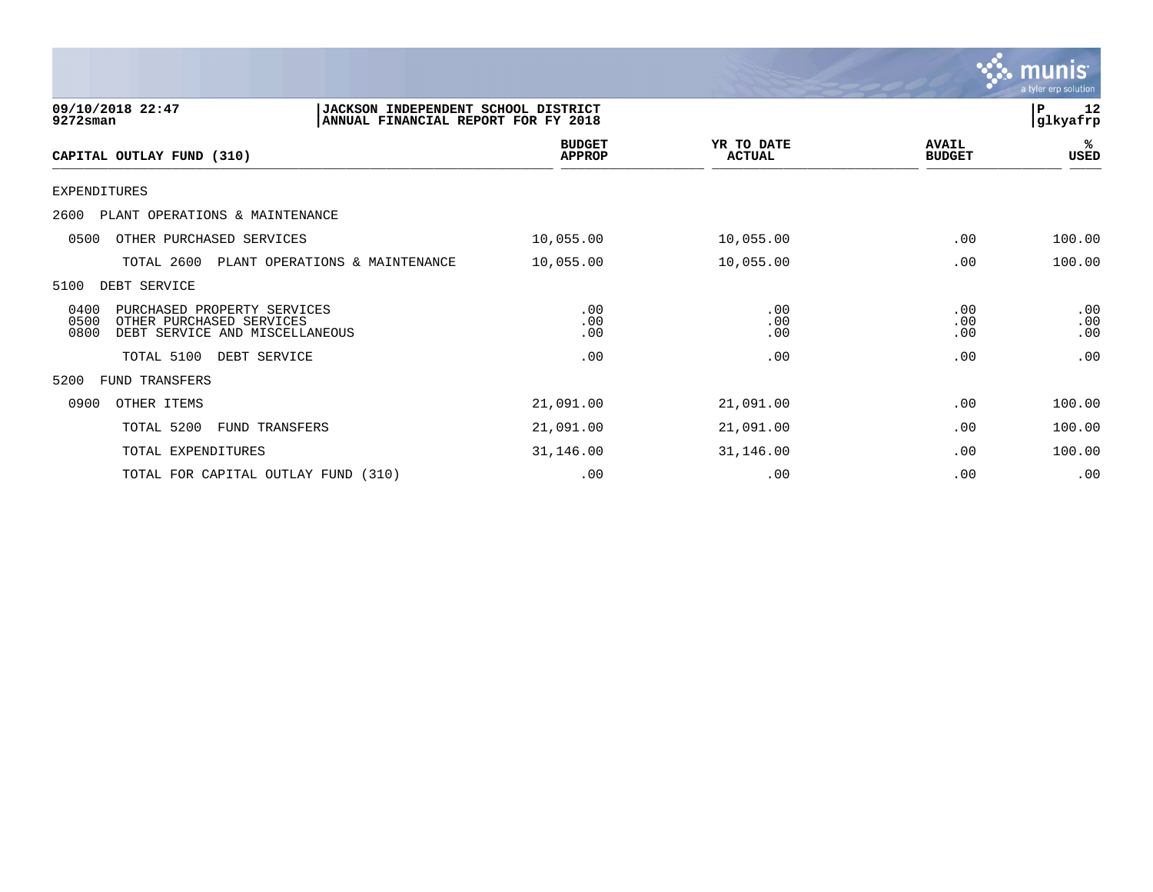

| 09/10/2018 22:47<br>9272sman                                                                                      | JACKSON INDEPENDENT SCHOOL DISTRICT<br>ANNUAL FINANCIAL REPORT FOR FY 2018 |                             |                               | 12<br>ΙP<br> glkyafrp |
|-------------------------------------------------------------------------------------------------------------------|----------------------------------------------------------------------------|-----------------------------|-------------------------------|-----------------------|
| CAPITAL OUTLAY FUND (310)                                                                                         | <b>BUDGET</b><br><b>APPROP</b>                                             | YR TO DATE<br><b>ACTUAL</b> | <b>AVAIL</b><br><b>BUDGET</b> | %ร<br>USED            |
| <b>EXPENDITURES</b>                                                                                               |                                                                            |                             |                               |                       |
| 2600 PLANT OPERATIONS & MAINTENANCE                                                                               |                                                                            |                             |                               |                       |
| 0500<br>OTHER PURCHASED SERVICES                                                                                  | 10,055.00                                                                  | 10,055.00                   | .00                           | 100.00                |
| TOTAL 2600<br>PLANT OPERATIONS & MAINTENANCE                                                                      | 10,055.00                                                                  | 10,055.00                   | .00                           | 100.00                |
| 5100<br>DEBT SERVICE                                                                                              |                                                                            |                             |                               |                       |
| 0400<br>PURCHASED PROPERTY SERVICES<br>0500<br>OTHER PURCHASED SERVICES<br>0800<br>DEBT SERVICE AND MISCELLANEOUS | .00<br>.00<br>.00                                                          | .00<br>.00<br>.00           | .00<br>.00<br>.00             | .00<br>.00<br>.00     |
| TOTAL 5100<br>DEBT SERVICE                                                                                        | .00                                                                        | .00                         | .00                           | .00                   |
| 5200<br>FUND TRANSFERS                                                                                            |                                                                            |                             |                               |                       |
| 0900<br>OTHER ITEMS                                                                                               | 21,091.00                                                                  | 21,091.00                   | .00                           | 100.00                |
| TOTAL 5200<br>FUND TRANSFERS                                                                                      | 21,091.00                                                                  | 21,091.00                   | .00                           | 100.00                |
| TOTAL EXPENDITURES                                                                                                | 31,146.00                                                                  | 31,146.00                   | .00                           | 100.00                |
| TOTAL FOR CAPITAL OUTLAY FUND (310)                                                                               | .00                                                                        | .00                         | .00                           | .00                   |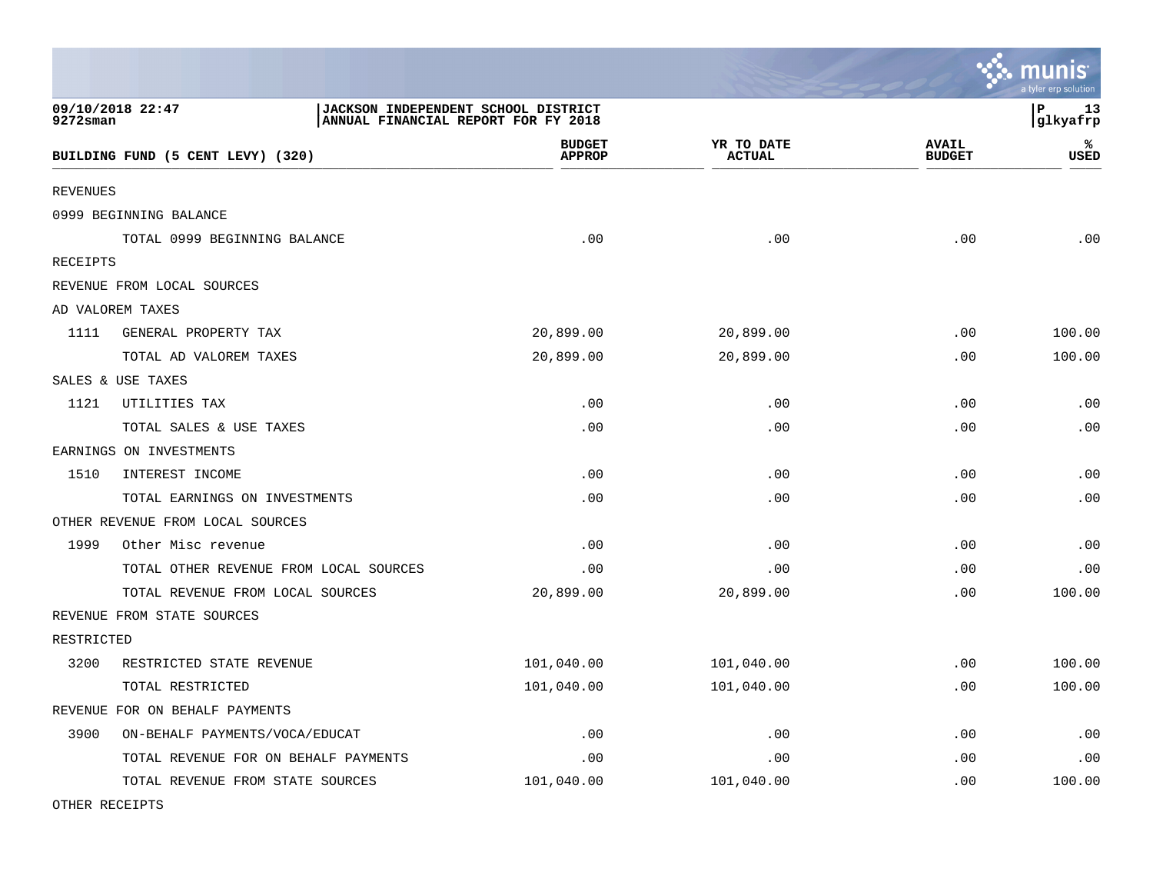|                 |                                        |                                                                            |                             |                               | ∿,∴ шшшэ<br>a tyler erp solution |
|-----------------|----------------------------------------|----------------------------------------------------------------------------|-----------------------------|-------------------------------|----------------------------------|
| $9272$ sman     | 09/10/2018 22:47                       | JACKSON INDEPENDENT SCHOOL DISTRICT<br>ANNUAL FINANCIAL REPORT FOR FY 2018 |                             |                               | P<br>13<br> glkyafrp             |
|                 | BUILDING FUND (5 CENT LEVY) (320)      | <b>BUDGET</b><br><b>APPROP</b>                                             | YR TO DATE<br><b>ACTUAL</b> | <b>AVAIL</b><br><b>BUDGET</b> | ℁<br>USED                        |
| <b>REVENUES</b> |                                        |                                                                            |                             |                               |                                  |
|                 | 0999 BEGINNING BALANCE                 |                                                                            |                             |                               |                                  |
|                 | TOTAL 0999 BEGINNING BALANCE           | .00                                                                        | .00                         | .00                           | .00                              |
| RECEIPTS        |                                        |                                                                            |                             |                               |                                  |
|                 | REVENUE FROM LOCAL SOURCES             |                                                                            |                             |                               |                                  |
|                 | AD VALOREM TAXES                       |                                                                            |                             |                               |                                  |
| 1111            | GENERAL PROPERTY TAX                   | 20,899.00                                                                  | 20,899.00                   | .00                           | 100.00                           |
|                 | TOTAL AD VALOREM TAXES                 | 20,899.00                                                                  | 20,899.00                   | .00                           | 100.00                           |
|                 | SALES & USE TAXES                      |                                                                            |                             |                               |                                  |
| 1121            | UTILITIES TAX                          | .00                                                                        | .00                         | .00                           | .00                              |
|                 | TOTAL SALES & USE TAXES                | .00                                                                        | .00                         | .00                           | .00                              |
|                 | EARNINGS ON INVESTMENTS                |                                                                            |                             |                               |                                  |
| 1510            | INTEREST INCOME                        | .00                                                                        | .00                         | .00                           | .00                              |
|                 | TOTAL EARNINGS ON INVESTMENTS          | .00                                                                        | .00                         | .00                           | .00                              |
|                 | OTHER REVENUE FROM LOCAL SOURCES       |                                                                            |                             |                               |                                  |
| 1999            | Other Misc revenue                     | .00                                                                        | .00                         | .00                           | .00                              |
|                 | TOTAL OTHER REVENUE FROM LOCAL SOURCES | .00                                                                        | .00                         | .00                           | .00                              |
|                 | TOTAL REVENUE FROM LOCAL SOURCES       | 20,899.00                                                                  | 20,899.00                   | .00                           | 100.00                           |
|                 | REVENUE FROM STATE SOURCES             |                                                                            |                             |                               |                                  |
| RESTRICTED      |                                        |                                                                            |                             |                               |                                  |
| 3200            | RESTRICTED STATE REVENUE               | 101,040.00                                                                 | 101,040.00                  | .00                           | 100.00                           |
|                 | TOTAL RESTRICTED                       | 101,040.00                                                                 | 101,040.00                  | .00                           | 100.00                           |
|                 | REVENUE FOR ON BEHALF PAYMENTS         |                                                                            |                             |                               |                                  |
| 3900            | ON-BEHALF PAYMENTS/VOCA/EDUCAT         | .00                                                                        | .00                         | .00                           | .00                              |
|                 | TOTAL REVENUE FOR ON BEHALF PAYMENTS   | .00                                                                        | .00                         | .00                           | .00                              |
|                 | TOTAL REVENUE FROM STATE SOURCES       | 101,040.00                                                                 | 101,040.00                  | .00                           | 100.00                           |
|                 |                                        |                                                                            |                             |                               |                                  |

 $\ddot{\cdot}$  munic

OTHER RECEIPTS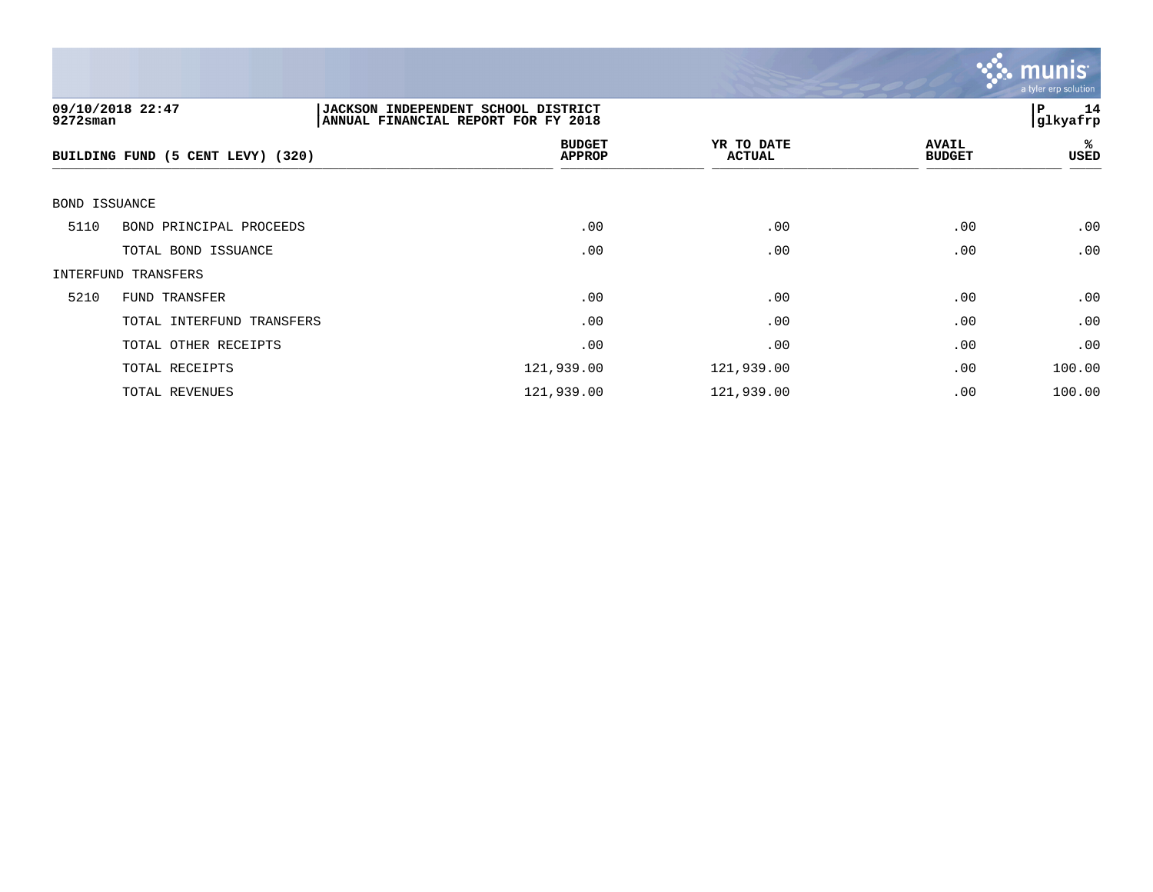

| $9272$ sman   | 09/10/2018 22:47                  | <b>JACKSON INDEPENDENT SCHOOL DISTRICT</b><br>ANNUAL FINANCIAL REPORT FOR FY 2018 |                             |                               |            |
|---------------|-----------------------------------|-----------------------------------------------------------------------------------|-----------------------------|-------------------------------|------------|
|               | BUILDING FUND (5 CENT LEVY) (320) | <b>BUDGET</b><br><b>APPROP</b>                                                    | YR TO DATE<br><b>ACTUAL</b> | <b>AVAIL</b><br><b>BUDGET</b> | %ะ<br>USED |
| BOND ISSUANCE |                                   |                                                                                   |                             |                               |            |
| 5110          | BOND PRINCIPAL PROCEEDS           | .00                                                                               | .00                         | .00                           | .00        |
|               | TOTAL BOND ISSUANCE               | .00                                                                               | .00                         | .00                           | .00        |
|               | INTERFUND TRANSFERS               |                                                                                   |                             |                               |            |
| 5210          | FUND TRANSFER                     | .00                                                                               | .00                         | .00                           | .00        |
|               | TOTAL INTERFUND TRANSFERS         | .00                                                                               | .00                         | .00                           | .00        |
|               | TOTAL OTHER RECEIPTS              | .00                                                                               | .00                         | .00                           | .00        |
|               | TOTAL RECEIPTS                    | 121,939.00                                                                        | 121,939.00                  | .00                           | 100.00     |
|               | TOTAL REVENUES                    | 121,939.00                                                                        | 121,939.00                  | .00                           | 100.00     |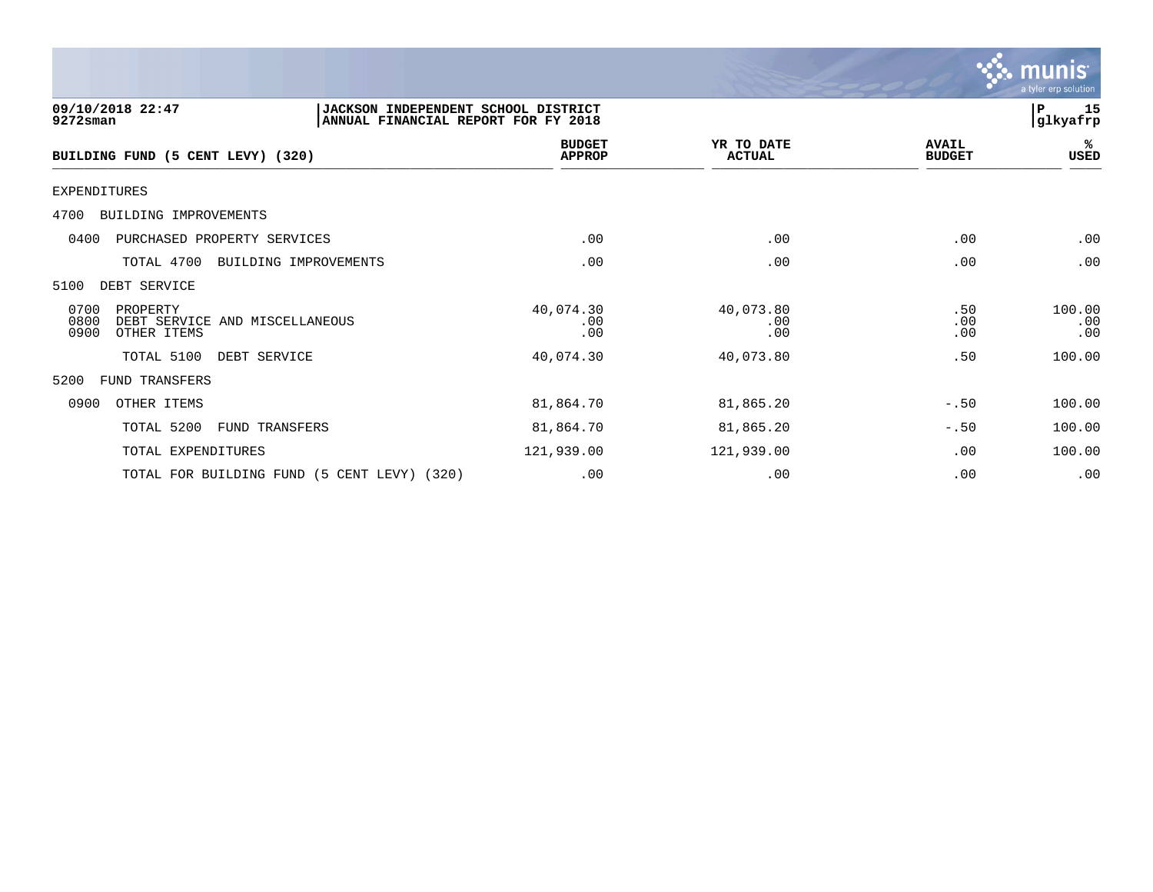

| 09/10/2018 22:47<br>JACKSON INDEPENDENT SCHOOL DISTRICT<br>9272sman<br>ANNUAL FINANCIAL REPORT FOR FY 2018 |                                |                             |                               | 15<br>P<br> glkyafrp |
|------------------------------------------------------------------------------------------------------------|--------------------------------|-----------------------------|-------------------------------|----------------------|
| BUILDING FUND (5 CENT LEVY) (320)                                                                          | <b>BUDGET</b><br><b>APPROP</b> | YR TO DATE<br><b>ACTUAL</b> | <b>AVAIL</b><br><b>BUDGET</b> | %ะ<br>USED           |
| EXPENDITURES                                                                                               |                                |                             |                               |                      |
| 4700<br>BUILDING IMPROVEMENTS                                                                              |                                |                             |                               |                      |
| PURCHASED PROPERTY SERVICES<br>0400                                                                        | .00                            | .00                         | .00                           | .00                  |
| TOTAL 4700<br>BUILDING IMPROVEMENTS                                                                        | .00                            | .00                         | .00                           | .00                  |
| 5100<br>DEBT SERVICE                                                                                       |                                |                             |                               |                      |
| 0700<br>PROPERTY<br>0800<br>DEBT SERVICE AND MISCELLANEOUS<br>0900<br>OTHER ITEMS                          | 40,074.30<br>.00<br>.00        | 40,073.80<br>.00<br>.00     | .50<br>.00<br>.00             | 100.00<br>.00<br>.00 |
| TOTAL 5100<br>DEBT SERVICE                                                                                 | 40,074.30                      | 40,073.80                   | .50                           | 100.00               |
| 5200<br>FUND TRANSFERS                                                                                     |                                |                             |                               |                      |
| 0900<br>OTHER ITEMS                                                                                        | 81,864.70                      | 81,865.20                   | $-.50$                        | 100.00               |
| TOTAL 5200<br>FUND TRANSFERS                                                                               | 81,864.70                      | 81,865.20                   | $-.50$                        | 100.00               |
| TOTAL EXPENDITURES                                                                                         | 121,939.00                     | 121,939.00                  | .00                           | 100.00               |
| TOTAL FOR BUILDING FUND (5 CENT LEVY) (320)                                                                | .00                            | .00                         | .00                           | .00                  |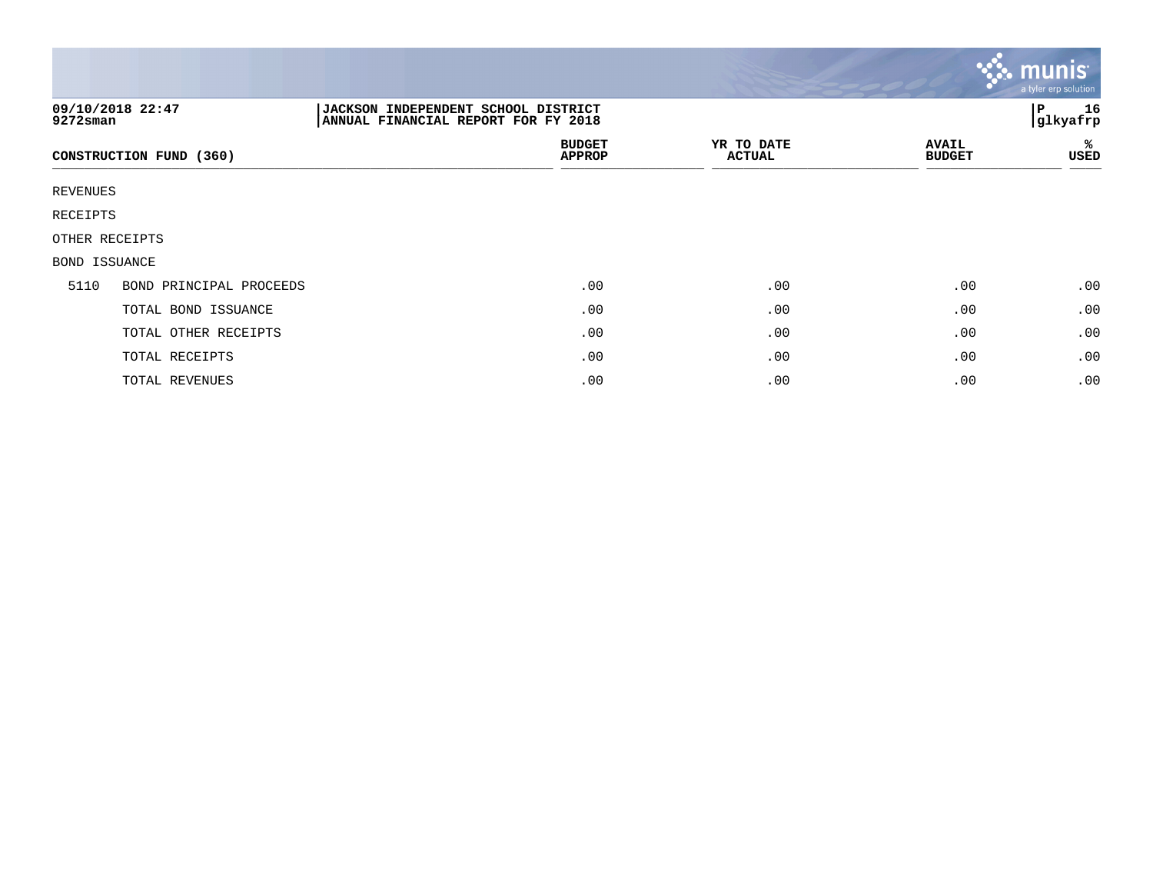|               |                         |                                                                            |                             |                               | munis<br>a tyler erp solution |
|---------------|-------------------------|----------------------------------------------------------------------------|-----------------------------|-------------------------------|-------------------------------|
| 9272sman      | 09/10/2018 22:47        | JACKSON INDEPENDENT SCHOOL DISTRICT<br>ANNUAL FINANCIAL REPORT FOR FY 2018 |                             |                               | 16<br>IΡ<br>glkyafrp          |
|               | CONSTRUCTION FUND (360) | <b>BUDGET</b><br><b>APPROP</b>                                             | YR TO DATE<br><b>ACTUAL</b> | <b>AVAIL</b><br><b>BUDGET</b> | %<br>USED                     |
| REVENUES      |                         |                                                                            |                             |                               |                               |
| RECEIPTS      |                         |                                                                            |                             |                               |                               |
|               | OTHER RECEIPTS          |                                                                            |                             |                               |                               |
| BOND ISSUANCE |                         |                                                                            |                             |                               |                               |
| 5110          | BOND PRINCIPAL PROCEEDS | .00                                                                        | .00                         | .00                           | .00                           |
|               | TOTAL BOND ISSUANCE     | .00                                                                        | .00                         | .00                           | .00                           |
|               | TOTAL OTHER RECEIPTS    | .00                                                                        | .00                         | .00                           | .00                           |
|               | TOTAL RECEIPTS          | .00                                                                        | .00                         | .00                           | .00                           |
|               | TOTAL REVENUES          | .00                                                                        | .00                         | .00                           | .00                           |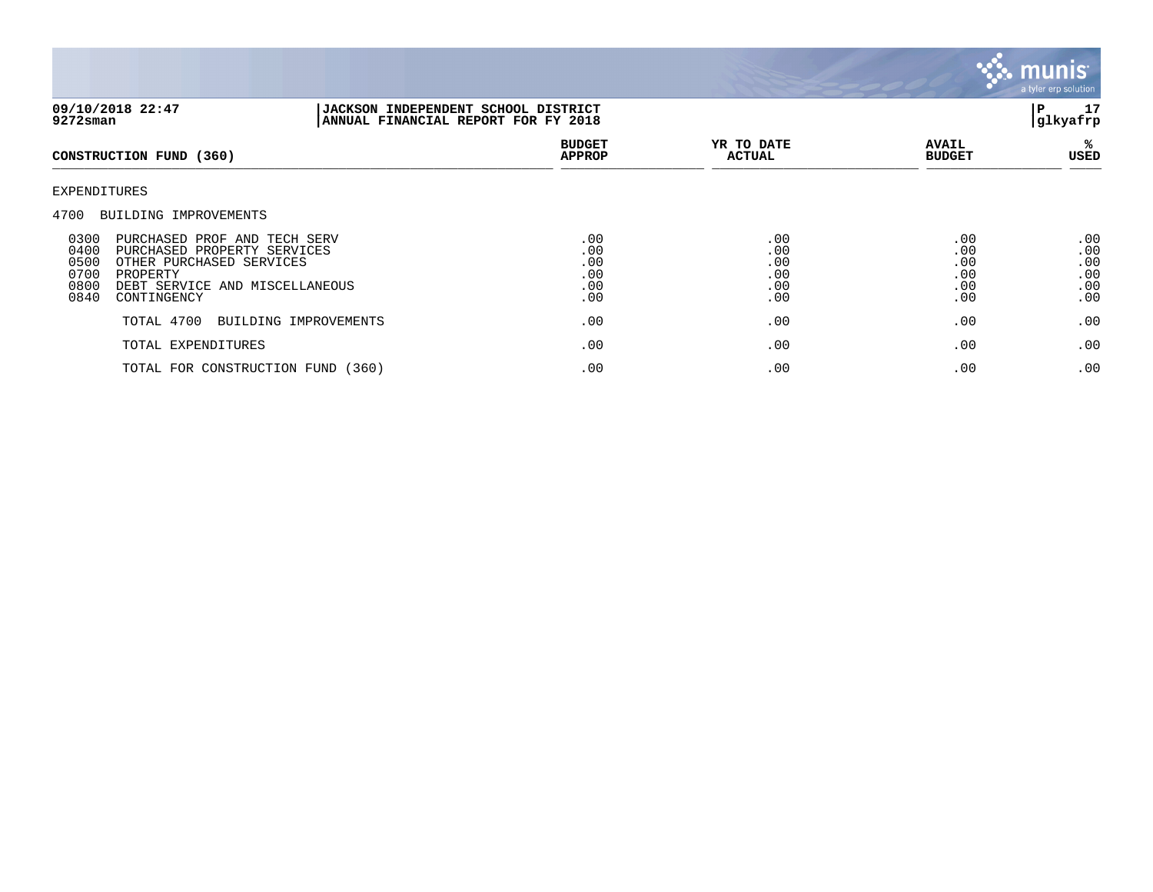

| 09/10/2018 22:47<br>9272sman                                                                                                                                                                         | JACKSON INDEPENDENT SCHOOL DISTRICT<br>ANNUAL FINANCIAL REPORT FOR FY 2018 |                                        |                                        |                                        | ${\bf P}$<br>17<br>glkyafrp            |
|------------------------------------------------------------------------------------------------------------------------------------------------------------------------------------------------------|----------------------------------------------------------------------------|----------------------------------------|----------------------------------------|----------------------------------------|----------------------------------------|
| CONSTRUCTION FUND (360)                                                                                                                                                                              |                                                                            | <b>BUDGET</b><br><b>APPROP</b>         | YR TO DATE<br><b>ACTUAL</b>            | <b>AVAIL</b><br><b>BUDGET</b>          | ℁<br>USED                              |
| EXPENDITURES<br>4700<br>BUILDING IMPROVEMENTS                                                                                                                                                        |                                                                            |                                        |                                        |                                        |                                        |
| 0300<br>PURCHASED PROF AND TECH SERV<br>0400<br>PURCHASED PROPERTY SERVICES<br>0500<br>OTHER PURCHASED SERVICES<br>0700<br>PROPERTY<br>0800<br>DEBT SERVICE AND MISCELLANEOUS<br>0840<br>CONTINGENCY |                                                                            | .00<br>.00<br>.00<br>.00<br>.00<br>.00 | .00<br>.00<br>.00<br>.00<br>.00<br>.00 | .00<br>.00<br>.00<br>.00<br>.00<br>.00 | .00<br>.00<br>.00<br>.00<br>.00<br>.00 |
| TOTAL 4700                                                                                                                                                                                           | BUILDING IMPROVEMENTS                                                      | .00                                    | .00                                    | .00                                    | .00                                    |
| TOTAL EXPENDITURES                                                                                                                                                                                   |                                                                            | .00                                    | .00                                    | .00                                    | .00                                    |
|                                                                                                                                                                                                      | TOTAL FOR CONSTRUCTION FUND (360)                                          | .00                                    | .00                                    | .00                                    | .00                                    |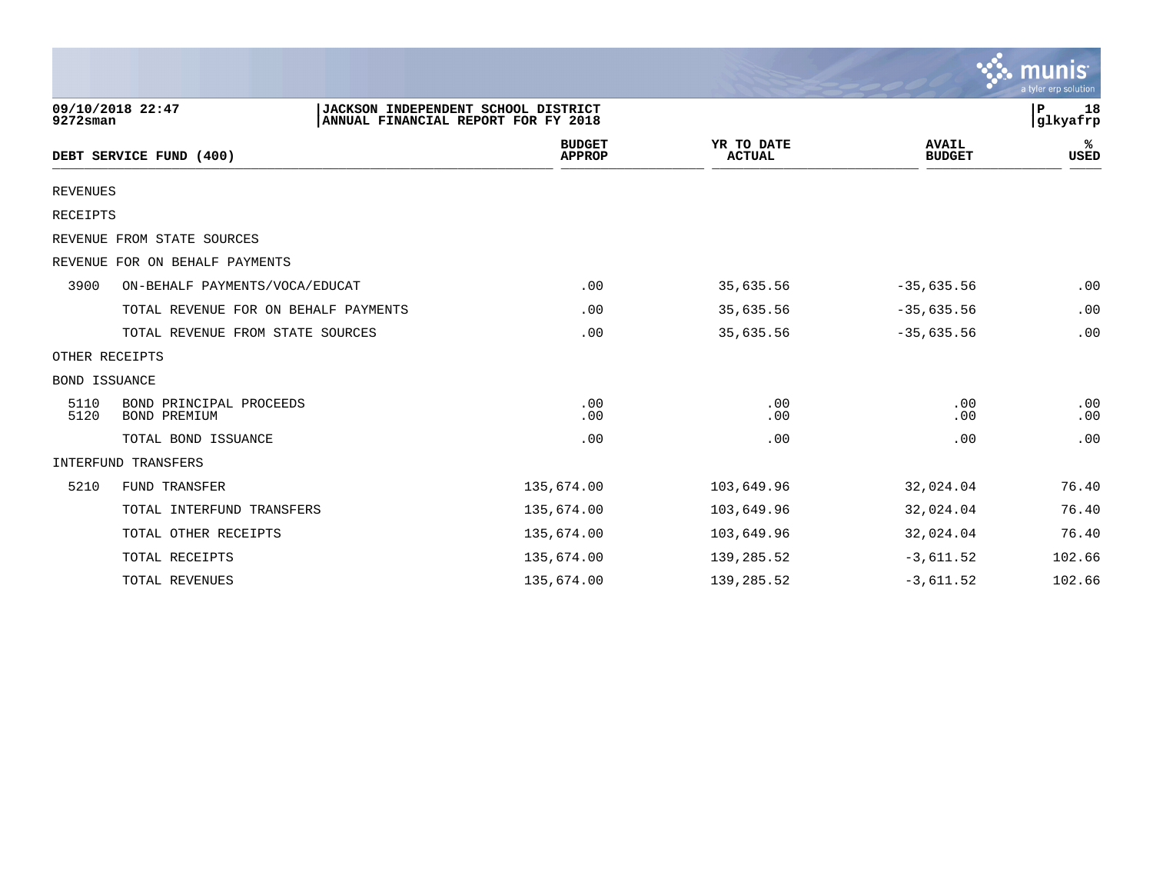|                      |                                         |                                                                            |                                |                             |                               | $\sim$ munis<br>a tyler erp solution |
|----------------------|-----------------------------------------|----------------------------------------------------------------------------|--------------------------------|-----------------------------|-------------------------------|--------------------------------------|
| $9272$ sman          | 09/10/2018 22:47                        | JACKSON INDEPENDENT SCHOOL DISTRICT<br>ANNUAL FINANCIAL REPORT FOR FY 2018 |                                |                             |                               | 18<br>P<br>glkyafrp                  |
|                      | DEBT SERVICE FUND (400)                 |                                                                            | <b>BUDGET</b><br><b>APPROP</b> | YR TO DATE<br><b>ACTUAL</b> | <b>AVAIL</b><br><b>BUDGET</b> | ℁<br>USED                            |
| <b>REVENUES</b>      |                                         |                                                                            |                                |                             |                               |                                      |
| RECEIPTS             |                                         |                                                                            |                                |                             |                               |                                      |
|                      | REVENUE FROM STATE SOURCES              |                                                                            |                                |                             |                               |                                      |
|                      | REVENUE FOR ON BEHALF PAYMENTS          |                                                                            |                                |                             |                               |                                      |
| 3900                 | ON-BEHALF PAYMENTS/VOCA/EDUCAT          |                                                                            | .00                            | 35,635.56                   | $-35,635.56$                  | .00                                  |
|                      | TOTAL REVENUE FOR ON BEHALF PAYMENTS    |                                                                            | .00                            | 35,635.56                   | $-35,635.56$                  | .00                                  |
|                      | TOTAL REVENUE FROM STATE SOURCES        |                                                                            | .00                            | 35,635.56                   | $-35,635.56$                  | .00                                  |
|                      | OTHER RECEIPTS                          |                                                                            |                                |                             |                               |                                      |
| <b>BOND ISSUANCE</b> |                                         |                                                                            |                                |                             |                               |                                      |
| 5110<br>5120         | BOND PRINCIPAL PROCEEDS<br>BOND PREMIUM |                                                                            | .00<br>.00                     | .00<br>.00                  | .00<br>.00                    | .00<br>.00                           |
|                      | TOTAL BOND ISSUANCE                     |                                                                            | .00                            | .00                         | .00                           | .00                                  |
|                      | INTERFUND TRANSFERS                     |                                                                            |                                |                             |                               |                                      |
| 5210                 | FUND TRANSFER                           |                                                                            | 135,674.00                     | 103,649.96                  | 32,024.04                     | 76.40                                |
|                      | TOTAL INTERFUND TRANSFERS               |                                                                            | 135,674.00                     | 103,649.96                  | 32,024.04                     | 76.40                                |
|                      | TOTAL OTHER RECEIPTS                    |                                                                            | 135,674.00                     | 103,649.96                  | 32,024.04                     | 76.40                                |
|                      | TOTAL RECEIPTS                          |                                                                            | 135,674.00                     | 139,285.52                  | $-3,611.52$                   | 102.66                               |
|                      | TOTAL REVENUES                          |                                                                            | 135,674.00                     | 139,285.52                  | $-3,611.52$                   | 102.66                               |

 $\sim$   $\sim$   $\sim$   $\sim$   $\sim$   $\sim$   $\sim$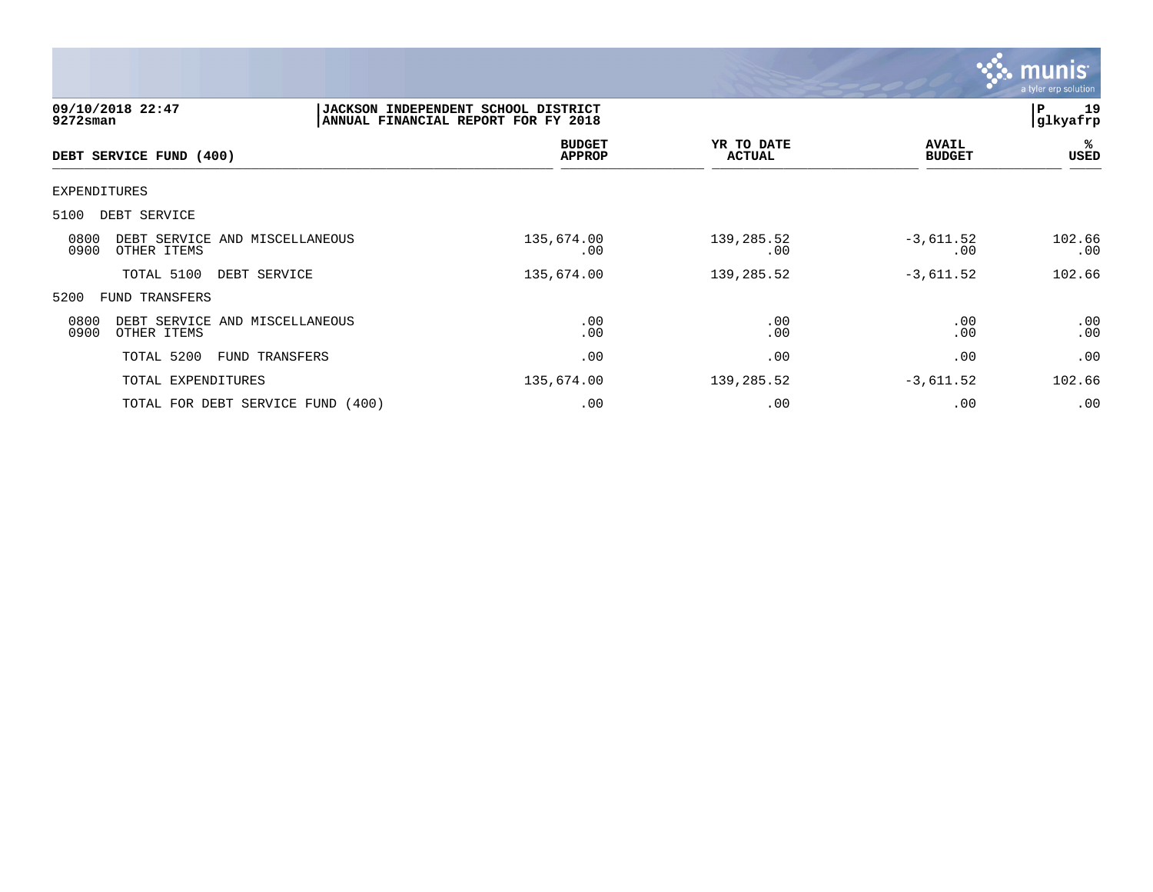

| 9272sman            | 09/10/2018 22:47                              | JACKSON INDEPENDENT SCHOOL DISTRICT<br>ANNUAL FINANCIAL REPORT FOR FY 2018 |                             |                               | 19<br>P<br>glkyafrp |
|---------------------|-----------------------------------------------|----------------------------------------------------------------------------|-----------------------------|-------------------------------|---------------------|
|                     | DEBT SERVICE FUND (400)                       | <b>BUDGET</b><br><b>APPROP</b>                                             | YR TO DATE<br><b>ACTUAL</b> | <b>AVAIL</b><br><b>BUDGET</b> | %ะ<br>USED          |
| <b>EXPENDITURES</b> |                                               |                                                                            |                             |                               |                     |
| 5100                | DEBT SERVICE                                  |                                                                            |                             |                               |                     |
| 0800<br>0900        | DEBT SERVICE AND MISCELLANEOUS<br>OTHER ITEMS | 135,674.00<br>.00                                                          | 139,285.52<br>.00           | $-3,611.52$<br>.00            | 102.66<br>.00       |
|                     | TOTAL 5100<br>DEBT SERVICE                    | 135,674.00                                                                 | 139,285.52                  | $-3,611.52$                   | 102.66              |
| 5200                | FUND TRANSFERS                                |                                                                            |                             |                               |                     |
| 0800<br>0900        | DEBT SERVICE AND MISCELLANEOUS<br>OTHER ITEMS | .00<br>.00                                                                 | .00<br>.00                  | .00<br>.00                    | .00<br>.00          |
|                     | TOTAL 5200<br>FUND TRANSFERS                  | .00                                                                        | .00                         | .00                           | .00                 |
|                     | TOTAL EXPENDITURES                            | 135,674.00                                                                 | 139,285.52                  | $-3,611.52$                   | 102.66              |
|                     | TOTAL FOR DEBT SERVICE FUND (400)             | .00                                                                        | .00                         | .00                           | .00                 |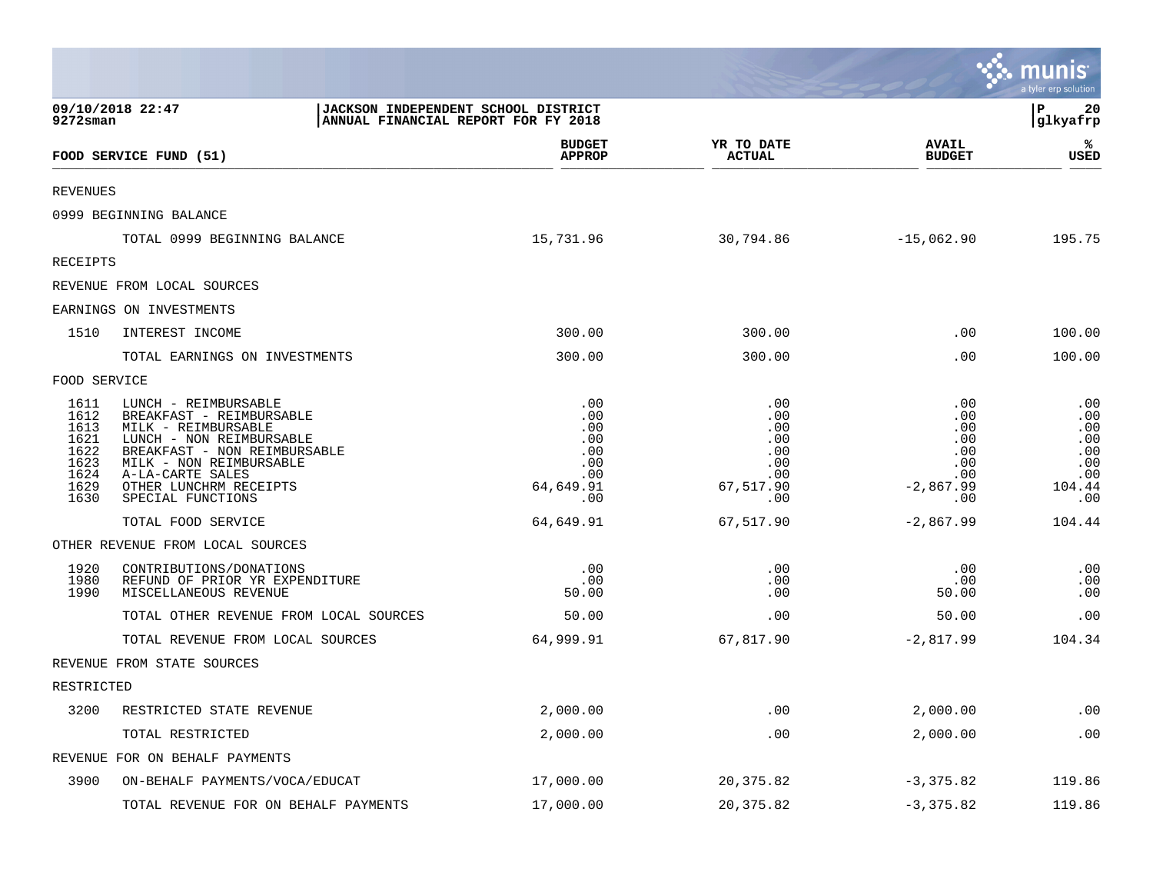|                                                                      |                                                                                                                                                                                                                                   |                                                                   |                                                                   |                                                                     | munis<br>a tyler erp solution                                  |
|----------------------------------------------------------------------|-----------------------------------------------------------------------------------------------------------------------------------------------------------------------------------------------------------------------------------|-------------------------------------------------------------------|-------------------------------------------------------------------|---------------------------------------------------------------------|----------------------------------------------------------------|
| $9272$ sman                                                          | 09/10/2018 22:47<br>JACKSON INDEPENDENT SCHOOL DISTRICT<br>ANNUAL FINANCIAL REPORT FOR FY 2018                                                                                                                                    |                                                                   |                                                                   |                                                                     | l P<br>20<br> glkyafrp                                         |
|                                                                      | FOOD SERVICE FUND (51)                                                                                                                                                                                                            | <b>BUDGET</b><br><b>APPROP</b>                                    | YR TO DATE<br><b>ACTUAL</b>                                       | <b>AVAIL</b><br><b>BUDGET</b>                                       | ℁<br><b>USED</b>                                               |
| <b>REVENUES</b>                                                      |                                                                                                                                                                                                                                   |                                                                   |                                                                   |                                                                     |                                                                |
|                                                                      | 0999 BEGINNING BALANCE                                                                                                                                                                                                            |                                                                   |                                                                   |                                                                     |                                                                |
|                                                                      | TOTAL 0999 BEGINNING BALANCE                                                                                                                                                                                                      | 15,731.96                                                         | 30,794.86                                                         | $-15,062.90$                                                        | 195.75                                                         |
| RECEIPTS                                                             |                                                                                                                                                                                                                                   |                                                                   |                                                                   |                                                                     |                                                                |
|                                                                      | REVENUE FROM LOCAL SOURCES                                                                                                                                                                                                        |                                                                   |                                                                   |                                                                     |                                                                |
|                                                                      | EARNINGS ON INVESTMENTS                                                                                                                                                                                                           |                                                                   |                                                                   |                                                                     |                                                                |
| 1510                                                                 | INTEREST INCOME                                                                                                                                                                                                                   | 300.00                                                            | 300.00                                                            | .00                                                                 | 100.00                                                         |
|                                                                      | TOTAL EARNINGS ON INVESTMENTS                                                                                                                                                                                                     | 300.00                                                            | 300.00                                                            | .00                                                                 | 100.00                                                         |
| FOOD SERVICE                                                         |                                                                                                                                                                                                                                   |                                                                   |                                                                   |                                                                     |                                                                |
| 1611<br>1612<br>1613<br>1621<br>1622<br>1623<br>1624<br>1629<br>1630 | LUNCH - REIMBURSABLE<br>BREAKFAST - REIMBURSABLE<br>MILK - REIMBURSABLE<br>LUNCH - NON REIMBURSABLE<br>BREAKFAST - NON REIMBURSABLE<br>MILK - NON REIMBURSABLE<br>A-LA-CARTE SALES<br>OTHER LUNCHRM RECEIPTS<br>SPECIAL FUNCTIONS | .00<br>.00<br>.00<br>.00<br>.00<br>.00<br>.00<br>64,649.91<br>.00 | .00<br>.00<br>.00<br>.00<br>.00<br>.00<br>.00<br>67,517.90<br>.00 | .00<br>.00<br>.00<br>.00<br>.00<br>.00<br>.00<br>$-2,867.99$<br>.00 | .00<br>.00<br>.00<br>.00<br>.00<br>.00<br>.00<br>104.44<br>.00 |
|                                                                      | TOTAL FOOD SERVICE                                                                                                                                                                                                                | 64,649.91                                                         | 67,517.90                                                         | $-2,867.99$                                                         | 104.44                                                         |
|                                                                      | OTHER REVENUE FROM LOCAL SOURCES                                                                                                                                                                                                  |                                                                   |                                                                   |                                                                     |                                                                |
| 1920<br>1980<br>1990                                                 | CONTRIBUTIONS/DONATIONS<br>REFUND OF PRIOR YR EXPENDITURE<br>MISCELLANEOUS REVENUE                                                                                                                                                | .00<br>.00<br>50.00                                               | .00<br>.00<br>.00                                                 | .00<br>.00<br>50.00                                                 | .00<br>.00<br>.00                                              |
|                                                                      | TOTAL OTHER REVENUE FROM LOCAL SOURCES                                                                                                                                                                                            | 50.00                                                             | .00                                                               | 50.00                                                               | .00                                                            |
|                                                                      | TOTAL REVENUE FROM LOCAL SOURCES                                                                                                                                                                                                  | 64,999.91                                                         | 67,817.90                                                         | $-2,817.99$                                                         | 104.34                                                         |
|                                                                      | REVENUE FROM STATE SOURCES                                                                                                                                                                                                        |                                                                   |                                                                   |                                                                     |                                                                |
| RESTRICTED                                                           |                                                                                                                                                                                                                                   |                                                                   |                                                                   |                                                                     |                                                                |
| 3200                                                                 | RESTRICTED STATE REVENUE                                                                                                                                                                                                          | 2,000.00                                                          | .00                                                               | 2,000.00                                                            | .00                                                            |
|                                                                      | TOTAL RESTRICTED                                                                                                                                                                                                                  | 2,000.00                                                          | .00                                                               | 2,000.00                                                            | .00                                                            |
|                                                                      | REVENUE FOR ON BEHALF PAYMENTS                                                                                                                                                                                                    |                                                                   |                                                                   |                                                                     |                                                                |
| 3900                                                                 | ON-BEHALF PAYMENTS/VOCA/EDUCAT                                                                                                                                                                                                    | 17,000.00                                                         | 20, 375.82                                                        | $-3,375.82$                                                         | 119.86                                                         |
|                                                                      | TOTAL REVENUE FOR ON BEHALF PAYMENTS                                                                                                                                                                                              | 17,000.00                                                         | 20, 375.82                                                        | $-3,375.82$                                                         | 119.86                                                         |

**Participate** 

 $\mathcal{L}$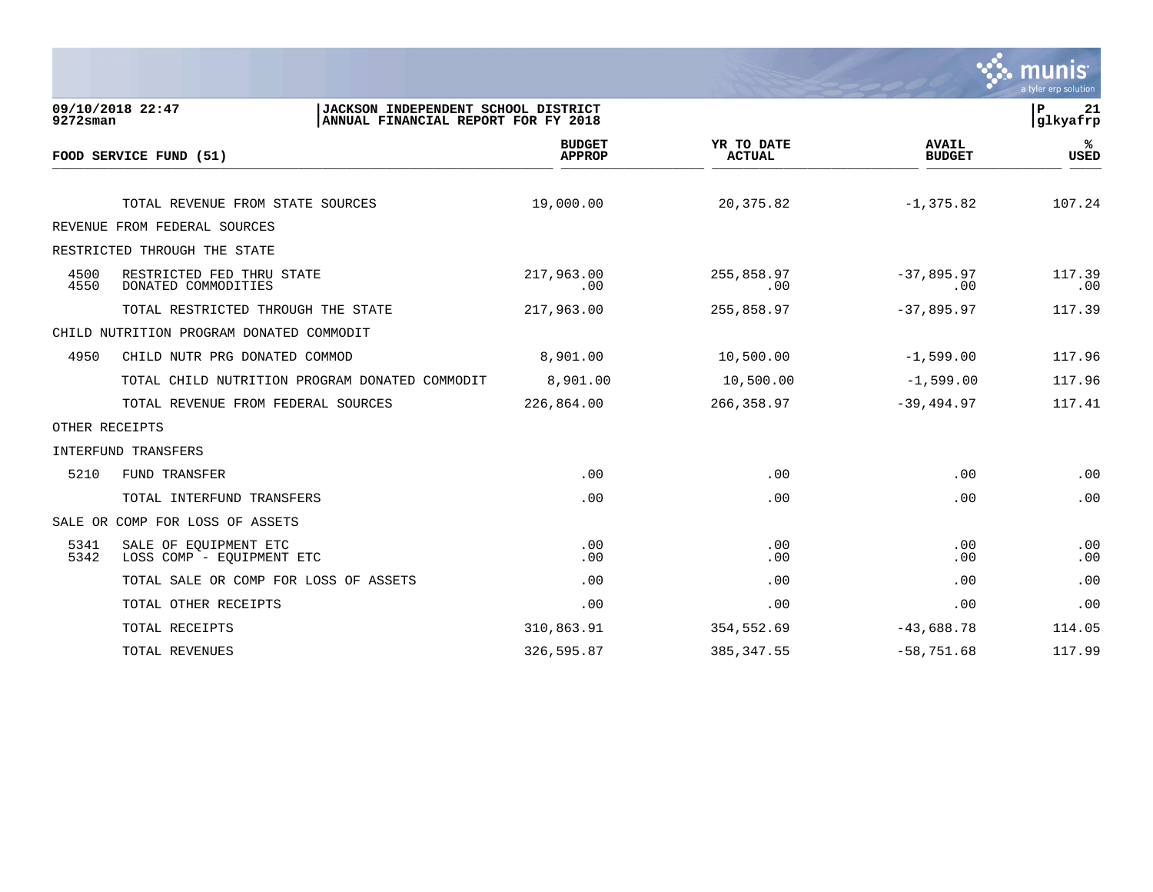

| $9272$ sman    | 09/10/2018 22:47                                   | JACKSON INDEPENDENT SCHOOL DISTRICT<br>ANNUAL FINANCIAL REPORT FOR FY 2018 |                                |                             |                               | $\, {\bf P}$<br>21<br>glkyafrp |
|----------------|----------------------------------------------------|----------------------------------------------------------------------------|--------------------------------|-----------------------------|-------------------------------|--------------------------------|
|                | FOOD SERVICE FUND (51)                             |                                                                            | <b>BUDGET</b><br><b>APPROP</b> | YR TO DATE<br><b>ACTUAL</b> | <b>AVAIL</b><br><b>BUDGET</b> | %ะ<br><b>USED</b>              |
|                |                                                    |                                                                            |                                |                             |                               |                                |
|                | TOTAL REVENUE FROM STATE SOURCES                   |                                                                            | 19,000.00                      | 20,375.82                   | $-1, 375.82$                  | 107.24                         |
|                | REVENUE FROM FEDERAL SOURCES                       |                                                                            |                                |                             |                               |                                |
|                | RESTRICTED THROUGH THE STATE                       |                                                                            |                                |                             |                               |                                |
| 4500<br>4550   | RESTRICTED FED THRU STATE<br>DONATED COMMODITIES   |                                                                            | 217,963.00<br>.00              | 255,858.97<br>.00           | $-37,895.97$<br>.00           | 117.39<br>.00                  |
|                | TOTAL RESTRICTED THROUGH THE STATE                 |                                                                            | 217,963.00                     | 255,858.97                  | $-37,895.97$                  | 117.39                         |
|                | CHILD NUTRITION PROGRAM DONATED COMMODIT           |                                                                            |                                |                             |                               |                                |
| 4950           | CHILD NUTR PRG DONATED COMMOD                      |                                                                            | 8,901.00                       | 10,500.00                   | $-1,599.00$                   | 117.96                         |
|                | TOTAL CHILD NUTRITION PROGRAM DONATED COMMODIT     |                                                                            | 8,901.00                       | 10,500.00                   | $-1,599.00$                   | 117.96                         |
|                | TOTAL REVENUE FROM FEDERAL SOURCES                 |                                                                            | 226,864.00                     | 266,358.97                  | $-39,494.97$                  | 117.41                         |
| OTHER RECEIPTS |                                                    |                                                                            |                                |                             |                               |                                |
|                | INTERFUND TRANSFERS                                |                                                                            |                                |                             |                               |                                |
| 5210           | FUND TRANSFER                                      |                                                                            | .00                            | .00                         | .00                           | .00                            |
|                | TOTAL INTERFUND TRANSFERS                          |                                                                            | .00                            | .00                         | .00                           | .00                            |
|                | SALE OR COMP FOR LOSS OF ASSETS                    |                                                                            |                                |                             |                               |                                |
| 5341<br>5342   | SALE OF EQUIPMENT ETC<br>LOSS COMP - EQUIPMENT ETC |                                                                            | .00<br>.00                     | .00<br>.00                  | .00<br>.00                    | .00<br>.00                     |
|                | TOTAL SALE OR COMP FOR LOSS OF ASSETS              |                                                                            | .00                            | .00                         | .00                           | .00                            |
|                | TOTAL OTHER RECEIPTS                               |                                                                            | .00                            | .00                         | .00                           | .00                            |
|                | TOTAL RECEIPTS                                     |                                                                            | 310,863.91                     | 354,552.69                  | $-43,688.78$                  | 114.05                         |
|                | TOTAL REVENUES                                     |                                                                            | 326,595.87                     | 385, 347.55                 | $-58,751.68$                  | 117.99                         |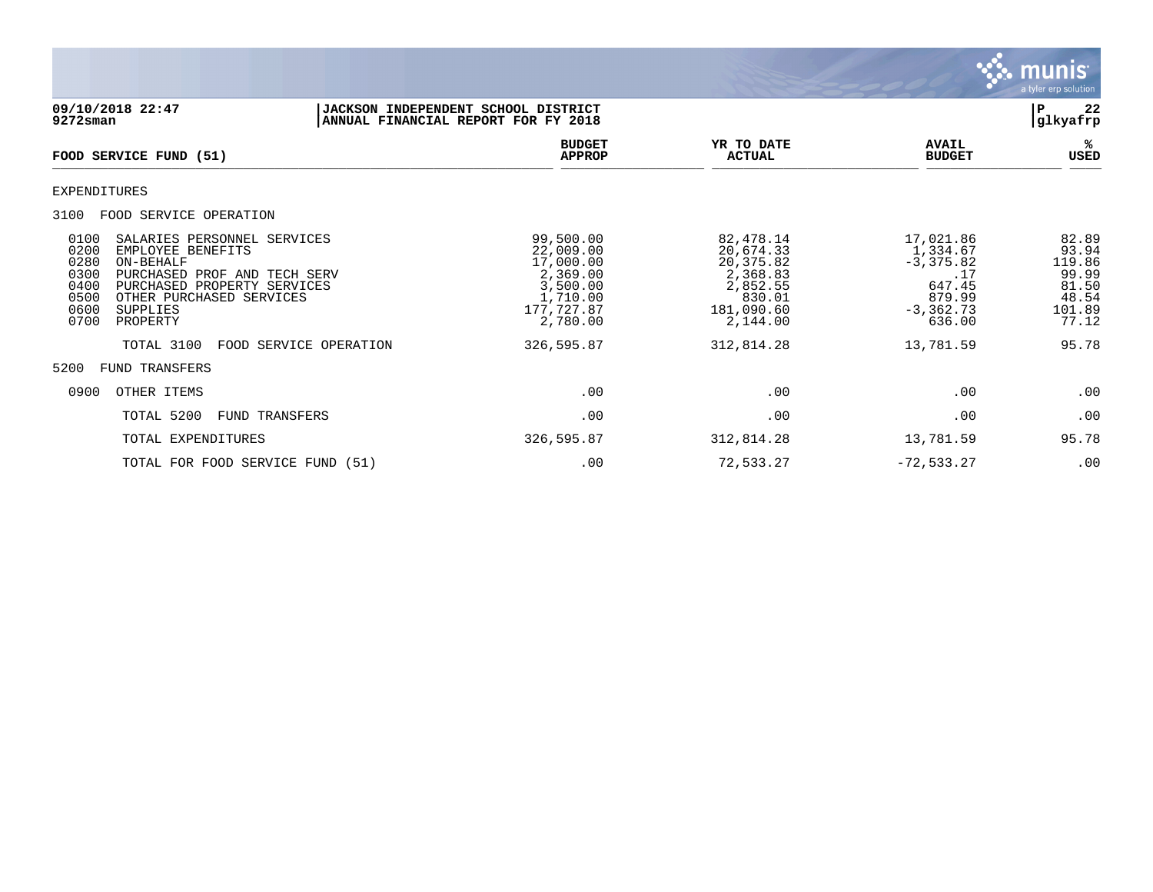

| 09/10/2018 22:47<br>9272sman                                                                                                                                                                                                                            | JACKSON INDEPENDENT SCHOOL DISTRICT<br>ANNUAL FINANCIAL REPORT FOR FY 2018                        |                                                                                                  |                                                                                            | 22<br>P<br> glkyafrp                                                   |
|---------------------------------------------------------------------------------------------------------------------------------------------------------------------------------------------------------------------------------------------------------|---------------------------------------------------------------------------------------------------|--------------------------------------------------------------------------------------------------|--------------------------------------------------------------------------------------------|------------------------------------------------------------------------|
| <b>FOOD SERVICE FUND (51)</b>                                                                                                                                                                                                                           | <b>BUDGET</b><br><b>APPROP</b>                                                                    | YR TO DATE<br><b>ACTUAL</b>                                                                      | <b>AVAIL</b><br><b>BUDGET</b>                                                              | %ะ<br>USED                                                             |
| EXPENDITURES                                                                                                                                                                                                                                            |                                                                                                   |                                                                                                  |                                                                                            |                                                                        |
| 3100<br>FOOD SERVICE OPERATION                                                                                                                                                                                                                          |                                                                                                   |                                                                                                  |                                                                                            |                                                                        |
| 0100<br>SALARIES PERSONNEL SERVICES<br>0200<br>EMPLOYEE BENEFITS<br>0280<br>ON-BEHALF<br>0300<br>PURCHASED PROF AND TECH SERV<br>0400<br>PURCHASED PROPERTY SERVICES<br>0500<br>OTHER PURCHASED SERVICES<br>0600<br><b>SUPPLIES</b><br>0700<br>PROPERTY | 99,500.00<br>22,009.00<br>17,000.00<br>2,369.00<br>3,500.00<br>1,710.00<br>177,727.87<br>2,780.00 | 82,478.14<br>20,674.33<br>20, 375.82<br>2,368.83<br>2,852.55<br>830.01<br>181,090.60<br>2,144.00 | 17,021.86<br>1,334.67<br>$-3, 375.82$<br>.17<br>647.45<br>879.99<br>$-3, 362.73$<br>636.00 | 82.89<br>93.94<br>119.86<br>99.99<br>81.50<br>48.54<br>101.89<br>77.12 |
| TOTAL 3100<br>FOOD SERVICE OPERATION                                                                                                                                                                                                                    | 326,595.87                                                                                        | 312,814.28                                                                                       | 13,781.59                                                                                  | 95.78                                                                  |
| 5200<br>FUND TRANSFERS                                                                                                                                                                                                                                  |                                                                                                   |                                                                                                  |                                                                                            |                                                                        |
| 0900<br>OTHER ITEMS                                                                                                                                                                                                                                     | .00                                                                                               | .00                                                                                              | .00                                                                                        | .00                                                                    |
| TOTAL 5200<br>FUND TRANSFERS                                                                                                                                                                                                                            | .00                                                                                               | .00                                                                                              | .00                                                                                        | .00                                                                    |
| TOTAL EXPENDITURES                                                                                                                                                                                                                                      | 326,595.87                                                                                        | 312,814.28                                                                                       | 13,781.59                                                                                  | 95.78                                                                  |
| TOTAL FOR FOOD SERVICE FUND (51)                                                                                                                                                                                                                        | .00                                                                                               | 72,533.27                                                                                        | $-72, 533.27$                                                                              | .00                                                                    |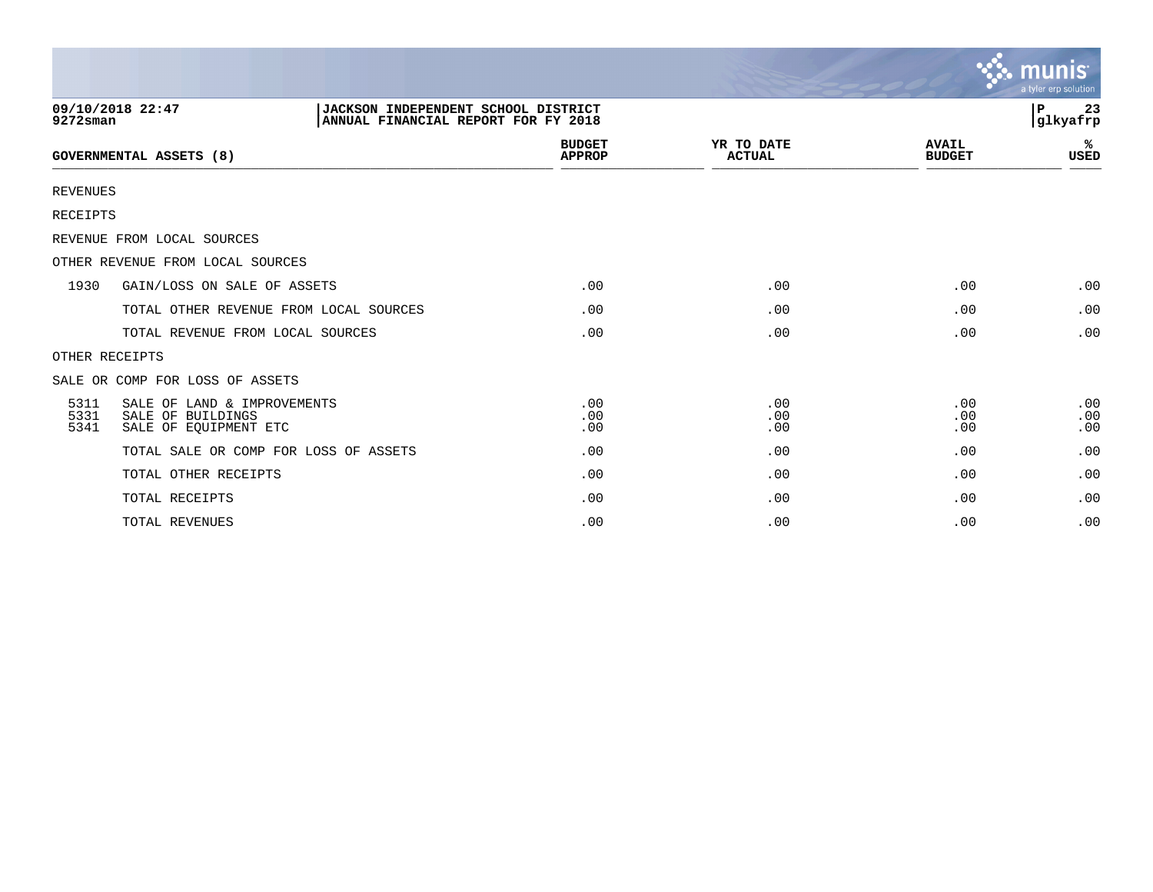|                      |                                                                           |                                                                            |                                |                             |                               | <u>ኛሉ munis</u><br>a tyler erp solution |
|----------------------|---------------------------------------------------------------------------|----------------------------------------------------------------------------|--------------------------------|-----------------------------|-------------------------------|-----------------------------------------|
| $9272$ sman          | 09/10/2018 22:47                                                          | JACKSON INDEPENDENT SCHOOL DISTRICT<br>ANNUAL FINANCIAL REPORT FOR FY 2018 |                                |                             |                               | 23<br>P<br>glkyafrp                     |
|                      | <b>GOVERNMENTAL ASSETS (8)</b>                                            |                                                                            | <b>BUDGET</b><br><b>APPROP</b> | YR TO DATE<br><b>ACTUAL</b> | <b>AVAIL</b><br><b>BUDGET</b> | %<br><b>USED</b>                        |
| <b>REVENUES</b>      |                                                                           |                                                                            |                                |                             |                               |                                         |
| <b>RECEIPTS</b>      |                                                                           |                                                                            |                                |                             |                               |                                         |
|                      | REVENUE FROM LOCAL SOURCES                                                |                                                                            |                                |                             |                               |                                         |
|                      | OTHER REVENUE FROM LOCAL SOURCES                                          |                                                                            |                                |                             |                               |                                         |
| 1930                 | GAIN/LOSS ON SALE OF ASSETS                                               |                                                                            | .00                            | .00                         | .00                           | .00                                     |
|                      | TOTAL OTHER REVENUE FROM LOCAL SOURCES                                    |                                                                            | .00                            | .00                         | .00                           | .00                                     |
|                      | TOTAL REVENUE FROM LOCAL SOURCES                                          |                                                                            | .00                            | .00                         | .00                           | .00                                     |
| OTHER RECEIPTS       |                                                                           |                                                                            |                                |                             |                               |                                         |
|                      | SALE OR COMP FOR LOSS OF ASSETS                                           |                                                                            |                                |                             |                               |                                         |
| 5311<br>5331<br>5341 | SALE OF LAND & IMPROVEMENTS<br>SALE OF BUILDINGS<br>SALE OF EOUIPMENT ETC |                                                                            | .00<br>.00<br>.00              | .00<br>.00<br>.00           | .00<br>.00<br>.00             | .00<br>.00<br>.00                       |
|                      | TOTAL SALE OR COMP FOR LOSS OF ASSETS                                     |                                                                            | .00                            | .00                         | .00                           | .00                                     |
|                      | TOTAL OTHER RECEIPTS                                                      |                                                                            | .00                            | .00                         | .00                           | .00                                     |
|                      | TOTAL RECEIPTS                                                            |                                                                            | .00                            | .00                         | .00                           | .00                                     |
|                      | TOTAL REVENUES                                                            |                                                                            | .00                            | .00                         | .00                           | .00                                     |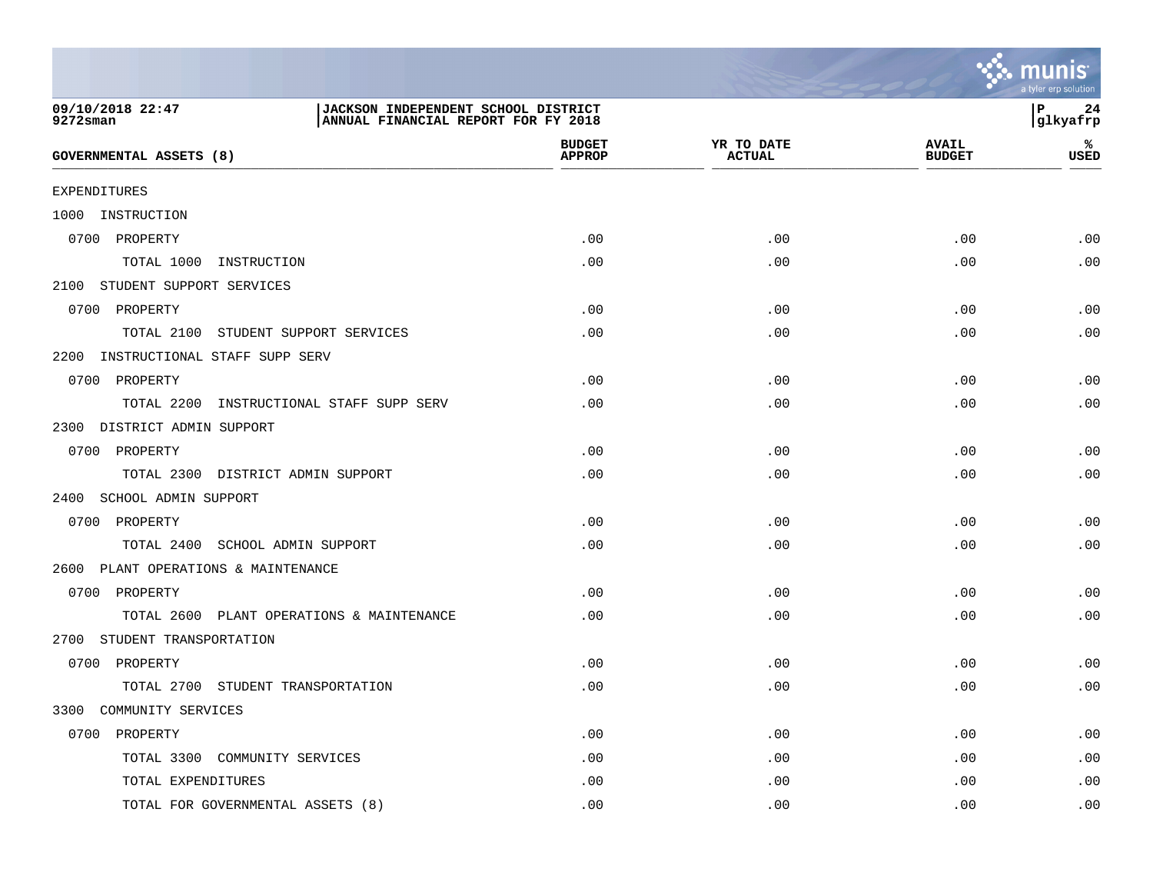

| 09/10/2018 22:47<br>$9272$ sman           | JACKSON INDEPENDENT SCHOOL DISTRICT<br>ANNUAL FINANCIAL REPORT FOR FY 2018 |                             |                               | P<br>24<br>glkyafrp |
|-------------------------------------------|----------------------------------------------------------------------------|-----------------------------|-------------------------------|---------------------|
| <b>GOVERNMENTAL ASSETS (8)</b>            | <b>BUDGET</b><br><b>APPROP</b>                                             | YR TO DATE<br><b>ACTUAL</b> | <b>AVAIL</b><br><b>BUDGET</b> | %ะ<br><b>USED</b>   |
| <b>EXPENDITURES</b>                       |                                                                            |                             |                               |                     |
| 1000 INSTRUCTION                          |                                                                            |                             |                               |                     |
| 0700 PROPERTY                             | .00                                                                        | .00                         | .00                           | .00                 |
| TOTAL 1000 INSTRUCTION                    | .00                                                                        | .00                         | .00                           | .00                 |
| 2100 STUDENT SUPPORT SERVICES             |                                                                            |                             |                               |                     |
| 0700 PROPERTY                             | .00                                                                        | .00                         | .00                           | .00                 |
| TOTAL 2100 STUDENT SUPPORT SERVICES       | .00                                                                        | .00                         | .00                           | .00                 |
| 2200 INSTRUCTIONAL STAFF SUPP SERV        |                                                                            |                             |                               |                     |
| 0700 PROPERTY                             | .00                                                                        | .00                         | .00                           | .00                 |
| TOTAL 2200 INSTRUCTIONAL STAFF SUPP SERV  | .00                                                                        | .00                         | .00                           | .00                 |
| 2300 DISTRICT ADMIN SUPPORT               |                                                                            |                             |                               |                     |
| 0700 PROPERTY                             | .00                                                                        | .00                         | .00                           | .00                 |
| TOTAL 2300 DISTRICT ADMIN SUPPORT         | .00                                                                        | .00                         | .00                           | .00                 |
| 2400 SCHOOL ADMIN SUPPORT                 |                                                                            |                             |                               |                     |
| 0700 PROPERTY                             | .00                                                                        | .00                         | .00                           | .00                 |
| TOTAL 2400 SCHOOL ADMIN SUPPORT           | .00                                                                        | .00                         | .00                           | .00                 |
| 2600 PLANT OPERATIONS & MAINTENANCE       |                                                                            |                             |                               |                     |
| 0700 PROPERTY                             | .00                                                                        | .00                         | .00                           | .00                 |
| TOTAL 2600 PLANT OPERATIONS & MAINTENANCE | .00                                                                        | .00                         | .00                           | .00                 |
| 2700 STUDENT TRANSPORTATION               |                                                                            |                             |                               |                     |
| 0700 PROPERTY                             | .00                                                                        | .00                         | .00                           | .00                 |
| TOTAL 2700 STUDENT TRANSPORTATION         | .00                                                                        | .00                         | .00                           | .00                 |
| 3300 COMMUNITY SERVICES                   |                                                                            |                             |                               |                     |
| 0700 PROPERTY                             | .00                                                                        | .00                         | .00                           | .00                 |
| TOTAL 3300 COMMUNITY SERVICES             | .00                                                                        | .00                         | .00                           | .00                 |
| TOTAL EXPENDITURES                        | .00                                                                        | .00                         | .00                           | .00                 |
| TOTAL FOR GOVERNMENTAL ASSETS (8)         | .00                                                                        | .00                         | .00                           | .00                 |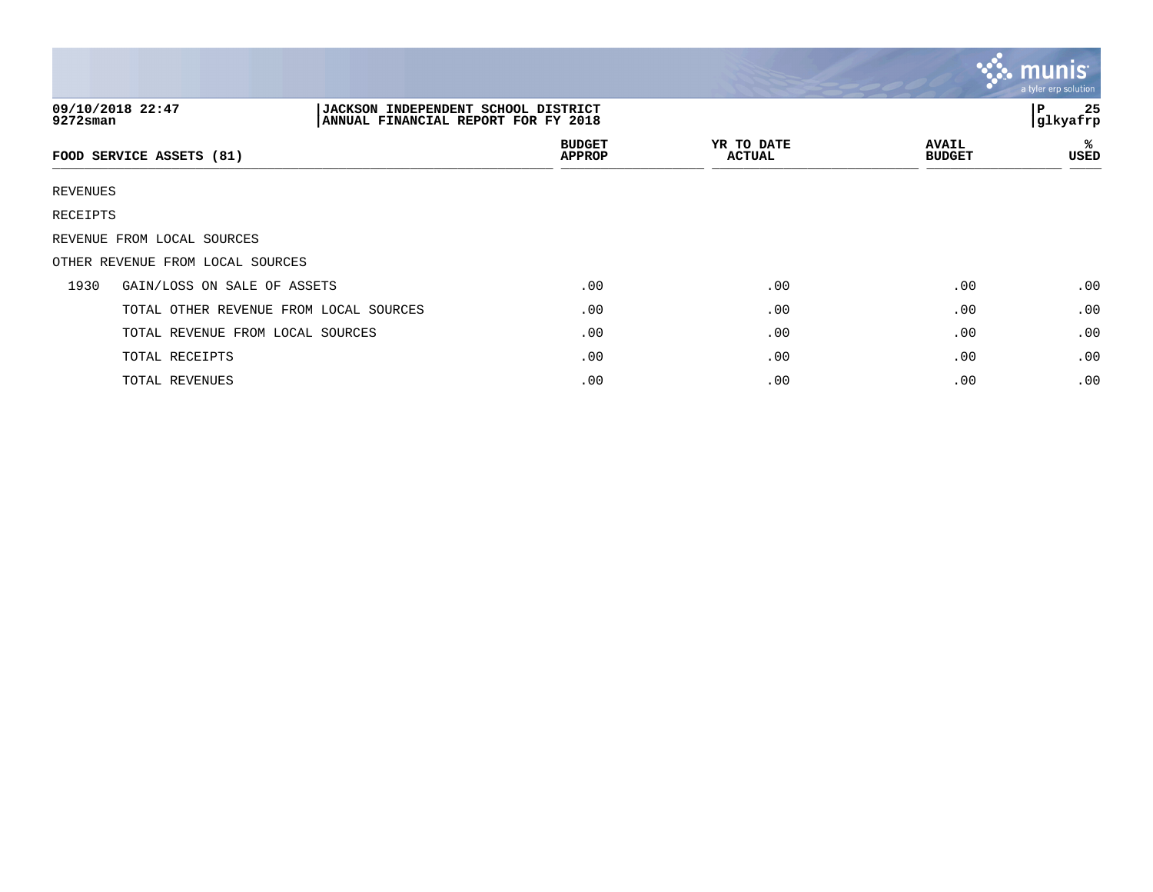|             |                                                                                                |                                |                             |                               | munis<br>a tyler erp solution |
|-------------|------------------------------------------------------------------------------------------------|--------------------------------|-----------------------------|-------------------------------|-------------------------------|
| $9272$ sman | 09/10/2018 22:47<br>JACKSON INDEPENDENT SCHOOL DISTRICT<br>ANNUAL FINANCIAL REPORT FOR FY 2018 |                                |                             |                               | 25<br>l P<br>glkyafrp         |
|             | FOOD SERVICE ASSETS (81)                                                                       | <b>BUDGET</b><br><b>APPROP</b> | YR TO DATE<br><b>ACTUAL</b> | <b>AVAIL</b><br><b>BUDGET</b> | ℁<br>USED                     |
| REVENUES    |                                                                                                |                                |                             |                               |                               |
| RECEIPTS    |                                                                                                |                                |                             |                               |                               |
|             | REVENUE FROM LOCAL SOURCES                                                                     |                                |                             |                               |                               |
|             | OTHER REVENUE FROM LOCAL SOURCES                                                               |                                |                             |                               |                               |
| 1930        | GAIN/LOSS ON SALE OF ASSETS                                                                    | .00                            | .00                         | .00                           | .00                           |
|             | TOTAL OTHER REVENUE FROM LOCAL SOURCES                                                         | .00                            | .00                         | .00                           | .00                           |
|             | TOTAL REVENUE FROM LOCAL SOURCES                                                               | .00                            | .00                         | .00                           | .00                           |
|             | TOTAL RECEIPTS                                                                                 | .00                            | .00                         | .00                           | .00                           |
|             | TOTAL REVENUES                                                                                 | .00                            | .00                         | .00                           | .00                           |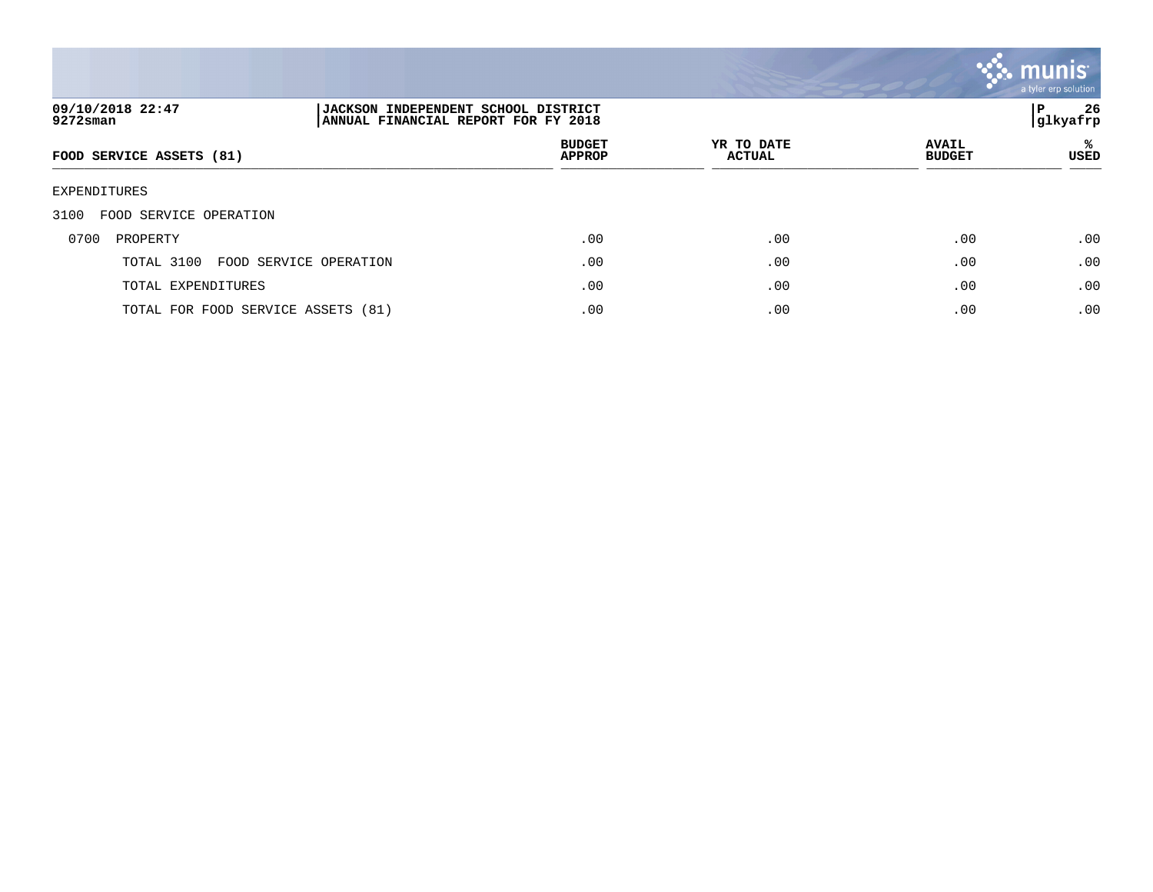

| 09/10/2018 22:47<br>9272sman         | 26<br>P<br><b>JACKSON INDEPENDENT SCHOOL DISTRICT</b><br> glkyafrp<br>ANNUAL FINANCIAL REPORT FOR FY 2018 |                                |                             |                               |                  |
|--------------------------------------|-----------------------------------------------------------------------------------------------------------|--------------------------------|-----------------------------|-------------------------------|------------------|
| FOOD SERVICE ASSETS (81)             |                                                                                                           | <b>BUDGET</b><br><b>APPROP</b> | YR TO DATE<br><b>ACTUAL</b> | <b>AVAIL</b><br><b>BUDGET</b> | ℁<br><b>USED</b> |
| EXPENDITURES                         |                                                                                                           |                                |                             |                               |                  |
| 3100<br>FOOD SERVICE OPERATION       |                                                                                                           |                                |                             |                               |                  |
| 0700<br>PROPERTY                     |                                                                                                           | .00                            | .00                         | .00                           | .00              |
| TOTAL 3100<br>FOOD SERVICE OPERATION |                                                                                                           | .00                            | .00                         | .00                           | .00              |
| TOTAL EXPENDITURES                   |                                                                                                           | .00                            | .00                         | .00                           | .00              |
| TOTAL FOR FOOD SERVICE ASSETS (81)   |                                                                                                           | .00                            | .00                         | .00                           | .00              |